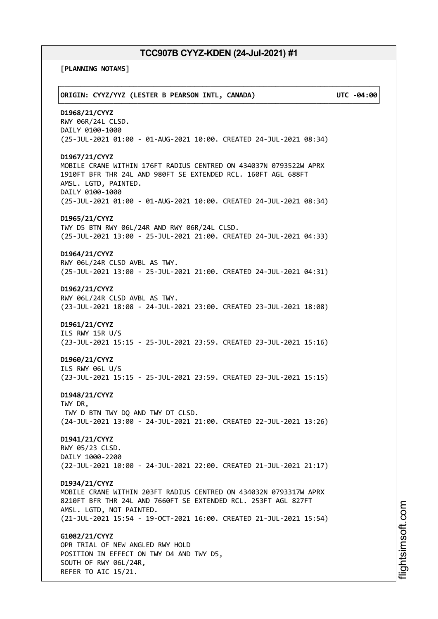**[PLANNING NOTAMS]**

| ORIGIN: CYYZ/YYZ (LESTER B PEARSON INTL, CANADA)                                                                                                                                                                                                       | UTC -04:00 |
|--------------------------------------------------------------------------------------------------------------------------------------------------------------------------------------------------------------------------------------------------------|------------|
| D1968/21/CYYZ<br>RWY 06R/24L CLSD.<br>DAILY 0100-1000<br>(25-JUL-2021 01:00 - 01-AUG-2021 10:00. CREATED 24-JUL-2021 08:34)                                                                                                                            |            |
| D1967/21/CYYZ<br>MOBILE CRANE WITHIN 176FT RADIUS CENTRED ON 434037N 0793522W APRX<br>1910FT BFR THR 24L AND 980FT SE EXTENDED RCL. 160FT AGL 688FT<br>AMSL. LGTD, PAINTED.<br>DAILY 0100-1000                                                         |            |
| (25-JUL-2021 01:00 - 01-AUG-2021 10:00. CREATED 24-JUL-2021 08:34)<br>D1965/21/CYYZ<br>TWY D5 BTN RWY 06L/24R AND RWY 06R/24L CLSD.<br>(25-JUL-2021 13:00 - 25-JUL-2021 21:00. CREATED 24-JUL-2021 04:33)                                              |            |
| D1964/21/CYYZ<br>RWY 06L/24R CLSD AVBL AS TWY.<br>(25-JUL-2021 13:00 - 25-JUL-2021 21:00. CREATED 24-JUL-2021 04:31)                                                                                                                                   |            |
| D1962/21/CYYZ<br>RWY 06L/24R CLSD AVBL AS TWY.<br>(23-JUL-2021 18:08 - 24-JUL-2021 23:00. CREATED 23-JUL-2021 18:08)                                                                                                                                   |            |
| D1961/21/CYYZ<br>ILS RWY 15R U/S<br>(23-JUL-2021 15:15 - 25-JUL-2021 23:59. CREATED 23-JUL-2021 15:16)                                                                                                                                                 |            |
| D1960/21/CYYZ<br>ILS RWY 06L U/S<br>(23-JUL-2021 15:15 - 25-JUL-2021 23:59. CREATED 23-JUL-2021 15:15)                                                                                                                                                 |            |
| D1948/21/CYYZ<br>TWY DR,<br>TWY D BTN TWY DQ AND TWY DT CLSD.<br>(24-JUL-2021 13:00 - 24-JUL-2021 21:00. CREATED 22-JUL-2021 13:26)                                                                                                                    |            |
| D1941/21/CYYZ<br>RWY 05/23 CLSD.<br>DAILY 1000-2200<br>(22-JUL-2021 10:00 - 24-JUL-2021 22:00. CREATED 21-JUL-2021 21:17)                                                                                                                              |            |
| D1934/21/CYYZ<br>MOBILE CRANE WITHIN 203FT RADIUS CENTRED ON 434032N 0793317W APRX<br>8210FT BFR THR 24L AND 7660FT SE EXTENDED RCL. 253FT AGL 827FT<br>AMSL. LGTD, NOT PAINTED.<br>(21-JUL-2021 15:54 - 19-OCT-2021 16:00. CREATED 21-JUL-2021 15:54) |            |
| G1082/21/CYYZ<br>OPR TRIAL OF NEW ANGLED RWY HOLD<br>POSITION IN EFFECT ON TWY D4 AND TWY D5,<br>SOUTH OF RWY 06L/24R,<br>REFER TO AIC 15/21.                                                                                                          |            |

m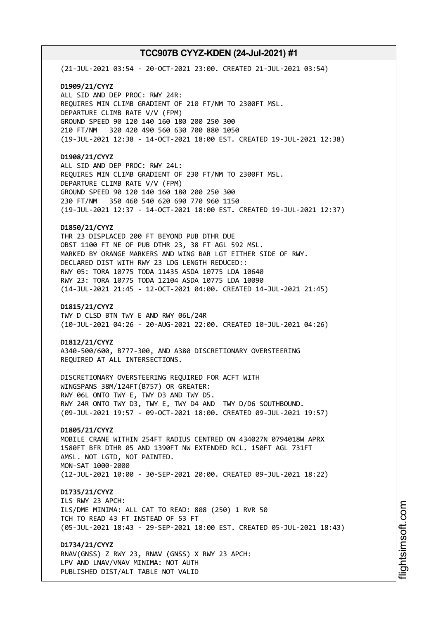(21-JUL-2021 03:54 - 20-OCT-2021 23:00. CREATED 21-JUL-2021 03:54)

**D1909/21/CYYZ** ALL SID AND DEP PROC: RWY 24R: REQUIRES MIN CLIMB GRADIENT OF 210 FT/NM TO 2300FT MSL. DEPARTURE CLIMB RATE V/V (FPM) GROUND SPEED 90 120 140 160 180 200 250 300 210 FT/NM 320 420 490 560 630 700 880 1050 (19-JUL-2021 12:38 - 14-OCT-2021 18:00 EST. CREATED 19-JUL-2021 12:38)

## **D1908/21/CYYZ**

ALL SID AND DEP PROC: RWY 24L: REQUIRES MIN CLIMB GRADIENT OF 230 FT/NM TO 2300FT MSL. DEPARTURE CLIMB RATE V/V (FPM) GROUND SPEED 90 120 140 160 180 200 250 300 230 FT/NM 350 460 540 620 690 770 960 1150 (19-JUL-2021 12:37 - 14-OCT-2021 18:00 EST. CREATED 19-JUL-2021 12:37)

## **D1850/21/CYYZ**

THR 23 DISPLACED 200 FT BEYOND PUB DTHR DUE OBST 1100 FT NE OF PUB DTHR 23, 38 FT AGL 592 MSL. MARKED BY ORANGE MARKERS AND WING BAR LGT EITHER SIDE OF RWY. DECLARED DIST WITH RWY 23 LDG LENGTH REDUCED:: RWY 05: TORA 10775 TODA 11435 ASDA 10775 LDA 10640 RWY 23: TORA 10775 TODA 12104 ASDA 10775 LDA 10090 (14-JUL-2021 21:45 - 12-OCT-2021 04:00. CREATED 14-JUL-2021 21:45)

#### **D1815/21/CYYZ**

TWY D CLSD BTN TWY E AND RWY 06L/24R (10-JUL-2021 04:26 - 20-AUG-2021 22:00. CREATED 10-JUL-2021 04:26)

#### **D1812/21/CYYZ**

A340-500/600, B777-300, AND A380 DISCRETIONARY OVERSTEERING REQUIRED AT ALL INTERSECTIONS.

DISCRETIONARY OVERSTEERING REQUIRED FOR ACFT WITH WINGSPANS 38M/124FT(B757) OR GREATER: RWY 06L ONTO TWY E, TWY D3 AND TWY D5. RWY 24R ONTO TWY D3, TWY E, TWY D4 AND TWY D/D6 SOUTHBOUND. (09-JUL-2021 19:57 - 09-OCT-2021 18:00. CREATED 09-JUL-2021 19:57)

## **D1805/21/CYYZ**

MOBILE CRANE WITHIN 254FT RADIUS CENTRED ON 434027N 0794018W APRX 1580FT BFR DTHR 05 AND 1390FT NW EXTENDED RCL. 150FT AGL 731FT AMSL. NOT LGTD, NOT PAINTED. MON-SAT 1000-2000 (12-JUL-2021 10:00 - 30-SEP-2021 20:00. CREATED 09-JUL-2021 18:22)

## **D1735/21/CYYZ**

ILS RWY 23 APCH: ILS/DME MINIMA: ALL CAT TO READ: 808 (250) 1 RVR 50 TCH TO READ 43 FT INSTEAD OF 53 FT (05-JUL-2021 18:43 - 29-SEP-2021 18:00 EST. CREATED 05-JUL-2021 18:43)

**D1734/21/CYYZ** RNAV(GNSS) Z RWY 23, RNAV (GNSS) X RWY 23 APCH: LPV AND LNAV/VNAV MINIMA: NOT AUTH

PUBLISHED DIST/ALT TABLE NOT VALID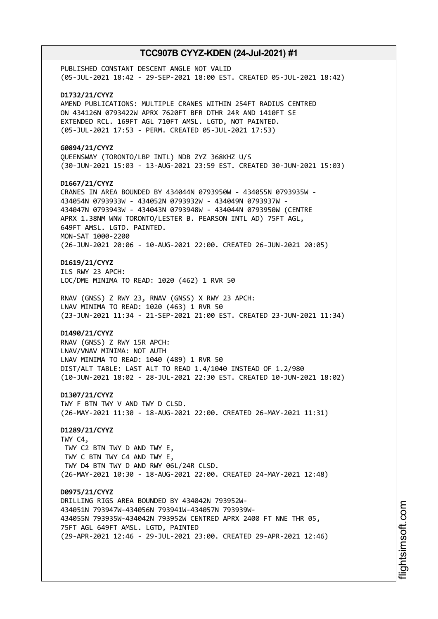PUBLISHED CONSTANT DESCENT ANGLE NOT VALID (05-JUL-2021 18:42 - 29-SEP-2021 18:00 EST. CREATED 05-JUL-2021 18:42) **D1732/21/CYYZ** AMEND PUBLICATIONS: MULTIPLE CRANES WITHIN 254FT RADIUS CENTRED ON 434126N 0793422W APRX 7620FT BFR DTHR 24R AND 1410FT SE EXTENDED RCL. 169FT AGL 710FT AMSL. LGTD, NOT PAINTED. (05-JUL-2021 17:53 - PERM. CREATED 05-JUL-2021 17:53) **G0894/21/CYYZ** QUEENSWAY (TORONTO/LBP INTL) NDB ZYZ 368KHZ U/S (30-JUN-2021 15:03 - 13-AUG-2021 23:59 EST. CREATED 30-JUN-2021 15:03) **D1667/21/CYYZ** CRANES IN AREA BOUNDED BY 434044N 0793950W - 434055N 0793935W - 434054N 0793933W - 434052N 0793932W - 434049N 0793937W - 434047N 0793943W - 434043N 0793948W - 434044N 0793950W (CENTRE APRX 1.38NM WNW TORONTO/LESTER B. PEARSON INTL AD) 75FT AGL, 649FT AMSL. LGTD. PAINTED. MON-SAT 1000-2200 (26-JUN-2021 20:06 - 10-AUG-2021 22:00. CREATED 26-JUN-2021 20:05) **D1619/21/CYYZ** ILS RWY 23 APCH: LOC/DME MINIMA TO READ: 1020 (462) 1 RVR 50 RNAV (GNSS) Z RWY 23, RNAV (GNSS) X RWY 23 APCH: LNAV MINIMA TO READ: 1020 (463) 1 RVR 50 (23-JUN-2021 11:34 - 21-SEP-2021 21:00 EST. CREATED 23-JUN-2021 11:34) **D1490/21/CYYZ** RNAV (GNSS) Z RWY 15R APCH: LNAV/VNAV MINIMA: NOT AUTH LNAV MINIMA TO READ: 1040 (489) 1 RVR 50 DIST/ALT TABLE: LAST ALT TO READ 1.4/1040 INSTEAD OF 1.2/980 (10-JUN-2021 18:02 - 28-JUL-2021 22:30 EST. CREATED 10-JUN-2021 18:02) **D1307/21/CYYZ** TWY F BTN TWY V AND TWY D CLSD. (26-MAY-2021 11:30 - 18-AUG-2021 22:00. CREATED 26-MAY-2021 11:31) **D1289/21/CYYZ** TWY C4, TWY C2 BTN TWY D AND TWY E, TWY C BTN TWY C4 AND TWY E, TWY D4 BTN TWY D AND RWY 06L/24R CLSD. (26-MAY-2021 10:30 - 18-AUG-2021 22:00. CREATED 24-MAY-2021 12:48) **D0975/21/CYYZ** DRILLING RIGS AREA BOUNDED BY 434042N 793952W-434051N 793947W-434056N 793941W-434057N 793939W-434055N 793935W-434042N 793952W CENTRED APRX 2400 FT NNE THR 05, 75FT AGL 649FT AMSL. LGTD, PAINTED (29-APR-2021 12:46 - 29-JUL-2021 23:00. CREATED 29-APR-2021 12:46)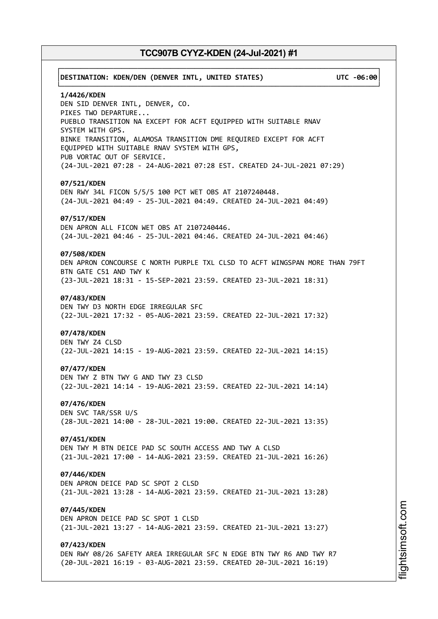# ┌──────────────────────────────────────────────────────────────────────────────┐ │**DESTINATION: KDEN/DEN (DENVER INTL, UNITED STATES) UTC -06:00**│ └──────────────────────────────────────────────────────────────────────────────┘ **1/4426/KDEN** DEN SID DENVER INTL, DENVER, CO. PIKES TWO DEPARTURE... PUEBLO TRANSITION NA EXCEPT FOR ACFT EQUIPPED WITH SUITABLE RNAV SYSTEM WITH GPS. BINKE TRANSITION, ALAMOSA TRANSITION DME REQUIRED EXCEPT FOR ACFT EQUIPPED WITH SUITABLE RNAV SYSTEM WITH GPS, PUB VORTAC OUT OF SERVICE. (24-JUL-2021 07:28 - 24-AUG-2021 07:28 EST. CREATED 24-JUL-2021 07:29) **07/521/KDEN** DEN RWY 34L FICON 5/5/5 100 PCT WET OBS AT 2107240448. (24-JUL-2021 04:49 - 25-JUL-2021 04:49. CREATED 24-JUL-2021 04:49) **07/517/KDEN** DEN APRON ALL FICON WET OBS AT 2107240446. (24-JUL-2021 04:46 - 25-JUL-2021 04:46. CREATED 24-JUL-2021 04:46) **07/508/KDEN** DEN APRON CONCOURSE C NORTH PURPLE TXL CLSD TO ACFT WINGSPAN MORE THAN 79FT BTN GATE C51 AND TWY K (23-JUL-2021 18:31 - 15-SEP-2021 23:59. CREATED 23-JUL-2021 18:31) **07/483/KDEN** DEN TWY D3 NORTH EDGE IRREGULAR SFC (22-JUL-2021 17:32 - 05-AUG-2021 23:59. CREATED 22-JUL-2021 17:32) **07/478/KDEN** DEN TWY Z4 CLSD (22-JUL-2021 14:15 - 19-AUG-2021 23:59. CREATED 22-JUL-2021 14:15) **07/477/KDEN** DEN TWY Z BTN TWY G AND TWY Z3 CLSD (22-JUL-2021 14:14 - 19-AUG-2021 23:59. CREATED 22-JUL-2021 14:14) **07/476/KDEN** DEN SVC TAR/SSR U/S (28-JUL-2021 14:00 - 28-JUL-2021 19:00. CREATED 22-JUL-2021 13:35) **07/451/KDEN** DEN TWY M BTN DEICE PAD SC SOUTH ACCESS AND TWY A CLSD (21-JUL-2021 17:00 - 14-AUG-2021 23:59. CREATED 21-JUL-2021 16:26) **07/446/KDEN** DEN APRON DEICE PAD SC SPOT 2 CLSD (21-JUL-2021 13:28 - 14-AUG-2021 23:59. CREATED 21-JUL-2021 13:28) **07/445/KDEN** DEN APRON DEICE PAD SC SPOT 1 CLSD (21-JUL-2021 13:27 - 14-AUG-2021 23:59. CREATED 21-JUL-2021 13:27) **07/423/KDEN** DEN RWY 08/26 SAFETY AREA IRREGULAR SFC N EDGE BTN TWY R6 AND TWY R7 (20-JUL-2021 16:19 - 03-AUG-2021 23:59. CREATED 20-JUL-2021 16:19)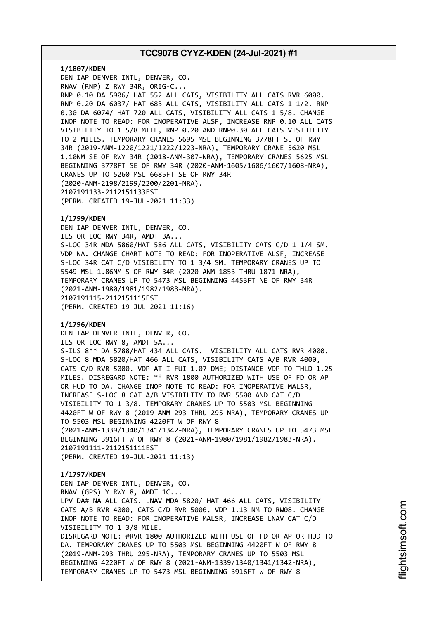**1/1807/KDEN** DEN IAP DENVER INTL, DENVER, CO. RNAV (RNP) Z RWY 34R, ORIG-C... RNP 0.10 DA 5906/ HAT 552 ALL CATS, VISIBILITY ALL CATS RVR 6000. RNP 0.20 DA 6037/ HAT 683 ALL CATS, VISIBILITY ALL CATS 1 1/2. RNP 0.30 DA 6074/ HAT 720 ALL CATS, VISIBILITY ALL CATS 1 5/8. CHANGE INOP NOTE TO READ: FOR INOPERATIVE ALSF, INCREASE RNP 0.10 ALL CATS VISIBILITY TO 1 5/8 MILE, RNP 0.20 AND RNP0.30 ALL CATS VISIBILITY TO 2 MILES. TEMPORARY CRANES 5695 MSL BEGINNING 3778FT SE OF RWY 34R (2019-ANM-1220/1221/1222/1223-NRA), TEMPORARY CRANE 5620 MSL 1.10NM SE OF RWY 34R (2018-ANM-307-NRA), TEMPORARY CRANES 5625 MSL BEGINNING 3778FT SE OF RWY 34R (2020-ANM-1605/1606/1607/1608-NRA), CRANES UP TO 5260 MSL 6685FT SE OF RWY 34R (2020-ANM-2198/2199/2200/2201-NRA). 2107191133-2112151133EST (PERM. CREATED 19-JUL-2021 11:33)

## **1/1799/KDEN**

DEN IAP DENVER INTL, DENVER, CO. ILS OR LOC RWY 34R, AMDT 3A... S-LOC 34R MDA 5860/HAT 586 ALL CATS, VISIBILITY CATS C/D 1 1/4 SM. VDP NA. CHANGE CHART NOTE TO READ: FOR INOPERATIVE ALSF, INCREASE S-LOC 34R CAT C/D VISIBILITY TO 1 3/4 SM. TEMPORARY CRANES UP TO 5549 MSL 1.86NM S OF RWY 34R (2020-ANM-1853 THRU 1871-NRA), TEMPORARY CRANES UP TO 5473 MSL BEGINNING 4453FT NE OF RWY 34R (2021-ANM-1980/1981/1982/1983-NRA). 2107191115-2112151115EST (PERM. CREATED 19-JUL-2021 11:16)

### **1/1796/KDEN**

DEN IAP DENVER INTL, DENVER, CO. ILS OR LOC RWY 8, AMDT 5A... S-ILS 8\*\* DA 5788/HAT 434 ALL CATS. VISIBILITY ALL CATS RVR 4000. S-LOC 8 MDA 5820/HAT 466 ALL CATS, VISIBILITY CATS A/B RVR 4000, CATS C/D RVR 5000. VDP AT I-FUI 1.07 DME; DISTANCE VDP TO THLD 1.25 MILES. DISREGARD NOTE: \*\* RVR 1800 AUTHORIZED WITH USE OF FD OR AP OR HUD TO DA. CHANGE INOP NOTE TO READ: FOR INOPERATIVE MALSR, INCREASE S-LOC 8 CAT A/B VISIBILITY TO RVR 5500 AND CAT C/D VISIBILITY TO 1 3/8. TEMPORARY CRANES UP TO 5503 MSL BEGINNING 4420FT W OF RWY 8 (2019-ANM-293 THRU 295-NRA), TEMPORARY CRANES UP TO 5503 MSL BEGINNING 4220FT W OF RWY 8 (2021-ANM-1339/1340/1341/1342-NRA), TEMPORARY CRANES UP TO 5473 MSL BEGINNING 3916FT W OF RWY 8 (2021-ANM-1980/1981/1982/1983-NRA). 2107191111-2112151111EST (PERM. CREATED 19-JUL-2021 11:13)

#### **1/1797/KDEN**

DEN IAP DENVER INTL, DENVER, CO. RNAV (GPS) Y RWY 8, AMDT 1C... LPV DA# NA ALL CATS. LNAV MDA 5820/ HAT 466 ALL CATS, VISIBILITY CATS A/B RVR 4000, CATS C/D RVR 5000. VDP 1.13 NM TO RW08. CHANGE INOP NOTE TO READ: FOR INOPERATIVE MALSR, INCREASE LNAV CAT C/D VISIBILITY TO 1 3/8 MILE. DISREGARD NOTE: #RVR 1800 AUTHORIZED WITH USE OF FD OR AP OR HUD TO DA. TEMPORARY CRANES UP TO 5503 MSL BEGINNING 4420FT W OF RWY 8 (2019-ANM-293 THRU 295-NRA), TEMPORARY CRANES UP TO 5503 MSL BEGINNING 4220FT W OF RWY 8 (2021-ANM-1339/1340/1341/1342-NRA), TEMPORARY CRANES UP TO 5473 MSL BEGINNING 3916FT W OF RWY 8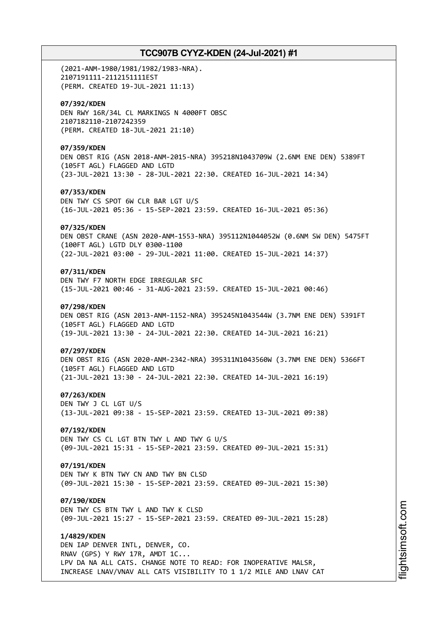(2021-ANM-1980/1981/1982/1983-NRA). 2107191111-2112151111EST (PERM. CREATED 19-JUL-2021 11:13) **07/392/KDEN** DEN RWY 16R/34L CL MARKINGS N 4000FT OBSC 2107182110-2107242359 (PERM. CREATED 18-JUL-2021 21:10) **07/359/KDEN** DEN OBST RIG (ASN 2018-ANM-2015-NRA) 395218N1043709W (2.6NM ENE DEN) 5389FT (105FT AGL) FLAGGED AND LGTD (23-JUL-2021 13:30 - 28-JUL-2021 22:30. CREATED 16-JUL-2021 14:34) **07/353/KDEN** DEN TWY CS SPOT 6W CLR BAR LGT U/S (16-JUL-2021 05:36 - 15-SEP-2021 23:59. CREATED 16-JUL-2021 05:36) **07/325/KDEN** DEN OBST CRANE (ASN 2020-ANM-1553-NRA) 395112N1044052W (0.6NM SW DEN) 5475FT (100FT AGL) LGTD DLY 0300-1100 (22-JUL-2021 03:00 - 29-JUL-2021 11:00. CREATED 15-JUL-2021 14:37) **07/311/KDEN** DEN TWY F7 NORTH EDGE IRREGULAR SFC (15-JUL-2021 00:46 - 31-AUG-2021 23:59. CREATED 15-JUL-2021 00:46) **07/298/KDEN** DEN OBST RIG (ASN 2013-ANM-1152-NRA) 395245N1043544W (3.7NM ENE DEN) 5391FT (105FT AGL) FLAGGED AND LGTD (19-JUL-2021 13:30 - 24-JUL-2021 22:30. CREATED 14-JUL-2021 16:21) **07/297/KDEN** DEN OBST RIG (ASN 2020-ANM-2342-NRA) 395311N1043560W (3.7NM ENE DEN) 5366FT (105FT AGL) FLAGGED AND LGTD (21-JUL-2021 13:30 - 24-JUL-2021 22:30. CREATED 14-JUL-2021 16:19) **07/263/KDEN** DEN TWY J CL LGT U/S (13-JUL-2021 09:38 - 15-SEP-2021 23:59. CREATED 13-JUL-2021 09:38) **07/192/KDEN** DEN TWY CS CL LGT BTN TWY L AND TWY G U/S (09-JUL-2021 15:31 - 15-SEP-2021 23:59. CREATED 09-JUL-2021 15:31) **07/191/KDEN** DEN TWY K BTN TWY CN AND TWY BN CLSD (09-JUL-2021 15:30 - 15-SEP-2021 23:59. CREATED 09-JUL-2021 15:30) **07/190/KDEN** DEN TWY CS BTN TWY L AND TWY K CLSD (09-JUL-2021 15:27 - 15-SEP-2021 23:59. CREATED 09-JUL-2021 15:28) **1/4829/KDEN** DEN IAP DENVER INTL, DENVER, CO. RNAV (GPS) Y RWY 17R, AMDT 1C... LPV DA NA ALL CATS. CHANGE NOTE TO READ: FOR INOPERATIVE MALSR, INCREASE LNAV/VNAV ALL CATS VISIBILITY TO 1 1/2 MILE AND LNAV CAT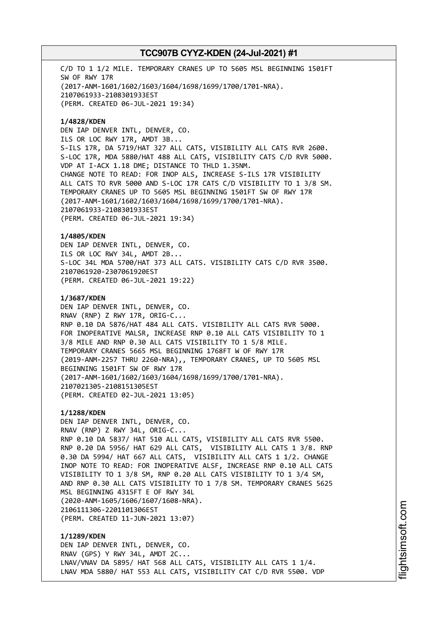C/D TO 1 1/2 MILE. TEMPORARY CRANES UP TO 5605 MSL BEGINNING 1501FT SW OF RWY 17R (2017-ANM-1601/1602/1603/1604/1698/1699/1700/1701-NRA). 2107061933-2108301933EST (PERM. CREATED 06-JUL-2021 19:34)

**1/4828/KDEN** DEN IAP DENVER INTL, DENVER, CO. ILS OR LOC RWY 17R, AMDT 3B... S-ILS 17R, DA 5719/HAT 327 ALL CATS, VISIBILITY ALL CATS RVR 2600. S-LOC 17R, MDA 5880/HAT 488 ALL CATS, VISIBILITY CATS C/D RVR 5000. VDP AT I-ACX 1.18 DME; DISTANCE TO THLD 1.35NM. CHANGE NOTE TO READ: FOR INOP ALS, INCREASE S-ILS 17R VISIBILITY ALL CATS TO RVR 5000 AND S-LOC 17R CATS C/D VISIBILITY TO 1 3/8 SM. TEMPORARY CRANES UP TO 5605 MSL BEGINNING 1501FT SW OF RWY 17R (2017-ANM-1601/1602/1603/1604/1698/1699/1700/1701-NRA). 2107061933-2108301933EST (PERM. CREATED 06-JUL-2021 19:34)

**1/4805/KDEN** DEN IAP DENVER INTL, DENVER, CO. ILS OR LOC RWY 34L, AMDT 2B... S-LOC 34L MDA 5700/HAT 373 ALL CATS. VISIBILITY CATS C/D RVR 3500. 2107061920-2307061920EST (PERM. CREATED 06-JUL-2021 19:22)

**1/3687/KDEN** DEN IAP DENVER INTL, DENVER, CO. RNAV (RNP) Z RWY 17R, ORIG-C... RNP 0.10 DA 5876/HAT 484 ALL CATS. VISIBILITY ALL CATS RVR 5000. FOR INOPERATIVE MALSR, INCREASE RNP 0.10 ALL CATS VISIBILITY TO 1 3/8 MILE AND RNP 0.30 ALL CATS VISIBILITY TO 1 5/8 MILE. TEMPORARY CRANES 5665 MSL BEGINNING 1768FT W OF RWY 17R (2019-ANM-2257 THRU 2260-NRA),, TEMPORARY CRANES, UP TO 5605 MSL BEGINNING 1501FT SW OF RWY 17R (2017-ANM-1601/1602/1603/1604/1698/1699/1700/1701-NRA). 2107021305-2108151305EST (PERM. CREATED 02-JUL-2021 13:05)

**1/1288/KDEN** DEN IAP DENVER INTL, DENVER, CO. RNAV (RNP) Z RWY 34L, ORIG-C... RNP 0.10 DA 5837/ HAT 510 ALL CATS, VISIBILITY ALL CATS RVR 5500. RNP 0.20 DA 5956/ HAT 629 ALL CATS, VISIBILITY ALL CATS 1 3/8. RNP 0.30 DA 5994/ HAT 667 ALL CATS, VISIBILITY ALL CATS 1 1/2. CHANGE INOP NOTE TO READ: FOR INOPERATIVE ALSF, INCREASE RNP 0.10 ALL CATS VISIBILITY TO 1 3/8 SM, RNP 0.20 ALL CATS VISIBILITY TO 1 3/4 SM, AND RNP 0.30 ALL CATS VISIBILITY TO 1 7/8 SM. TEMPORARY CRANES 5625 MSL BEGINNING 4315FT E OF RWY 34L (2020-ANM-1605/1606/1607/1608-NRA). 2106111306-2201101306EST (PERM. CREATED 11-JUN-2021 13:07)

**1/1289/KDEN** DEN IAP DENVER INTL, DENVER, CO. RNAV (GPS) Y RWY 34L, AMDT 2C... LNAV/VNAV DA 5895/ HAT 568 ALL CATS, VISIBILITY ALL CATS 1 1/4. LNAV MDA 5880/ HAT 553 ALL CATS, VISIBILITY CAT C/D RVR 5500. VDP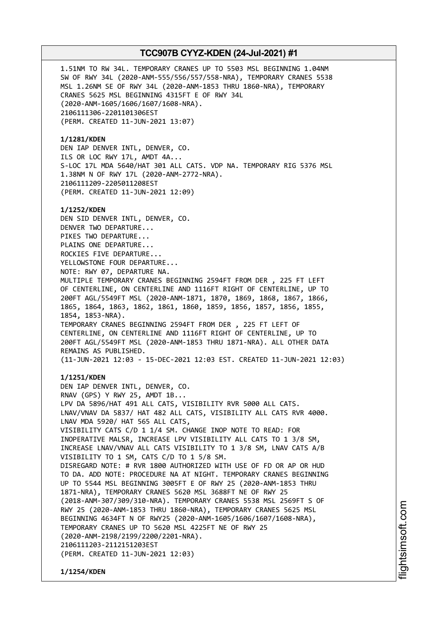1.51NM TO RW 34L. TEMPORARY CRANES UP TO 5503 MSL BEGINNING 1.04NM SW OF RWY 34L (2020-ANM-555/556/557/558-NRA), TEMPORARY CRANES 5538 MSL 1.26NM SE OF RWY 34L (2020-ANM-1853 THRU 1860-NRA), TEMPORARY CRANES 5625 MSL BEGINNING 4315FT E OF RWY 34L (2020-ANM-1605/1606/1607/1608-NRA). 2106111306-2201101306EST (PERM. CREATED 11-JUN-2021 13:07) **1/1281/KDEN** DEN IAP DENVER INTL, DENVER, CO. ILS OR LOC RWY 17L, AMDT 4A... S-LOC 17L MDA 5640/HAT 301 ALL CATS. VDP NA. TEMPORARY RIG 5376 MSL 1.38NM N OF RWY 17L (2020-ANM-2772-NRA). 2106111209-2205011208EST (PERM. CREATED 11-JUN-2021 12:09) **1/1252/KDEN** DEN SID DENVER INTL, DENVER, CO. DENVER TWO DEPARTURE... PIKES TWO DEPARTURE... PLAINS ONE DEPARTURE... ROCKIES FIVE DEPARTURE... YELLOWSTONE FOUR DEPARTURE... NOTE: RWY 07, DEPARTURE NA. MULTIPLE TEMPORARY CRANES BEGINNING 2594FT FROM DER , 225 FT LEFT OF CENTERLINE, ON CENTERLINE AND 1116FT RIGHT OF CENTERLINE, UP TO 200FT AGL/5549FT MSL (2020-ANM-1871, 1870, 1869, 1868, 1867, 1866, 1865, 1864, 1863, 1862, 1861, 1860, 1859, 1856, 1857, 1856, 1855, 1854, 1853-NRA). TEMPORARY CRANES BEGINNING 2594FT FROM DER , 225 FT LEFT OF CENTERLINE, ON CENTERLINE AND 1116FT RIGHT OF CENTERLINE, UP TO 200FT AGL/5549FT MSL (2020-ANM-1853 THRU 1871-NRA). ALL OTHER DATA REMAINS AS PUBLISHED. (11-JUN-2021 12:03 - 15-DEC-2021 12:03 EST. CREATED 11-JUN-2021 12:03) **1/1251/KDEN** DEN IAP DENVER INTL, DENVER, CO. RNAV (GPS) Y RWY 25, AMDT 1B... LPV DA 5896/HAT 491 ALL CATS, VISIBILITY RVR 5000 ALL CATS. LNAV/VNAV DA 5837/ HAT 482 ALL CATS, VISIBILITY ALL CATS RVR 4000. LNAV MDA 5920/ HAT 565 ALL CATS, VISIBILITY CATS C/D 1 1/4 SM. CHANGE INOP NOTE TO READ: FOR INOPERATIVE MALSR, INCREASE LPV VISIBILITY ALL CATS TO 1 3/8 SM, INCREASE LNAV/VNAV ALL CATS VISIBILITY TO 1 3/8 SM, LNAV CATS A/B VISIBILITY TO 1 SM, CATS C/D TO 1 5/8 SM. DISREGARD NOTE: # RVR 1800 AUTHORIZED WITH USE OF FD OR AP OR HUD TO DA. ADD NOTE: PROCEDURE NA AT NIGHT. TEMPORARY CRANES BEGINNING UP TO 5544 MSL BEGINNING 3005FT E OF RWY 25 (2020-ANM-1853 THRU 1871-NRA), TEMPORARY CRANES 5620 MSL 3688FT NE OF RWY 25 (2018-ANM-307/309/310-NRA). TEMPORARY CRANES 5538 MSL 2569FT S OF RWY 25 (2020-ANM-1853 THRU 1860-NRA), TEMPORARY CRANES 5625 MSL BEGINNING 4634FT N OF RWY25 (2020-ANM-1605/1606/1607/1608-NRA), TEMPORARY CRANES UP TO 5620 MSL 4225FT NE OF RWY 25 (2020-ANM-2198/2199/2200/2201-NRA).

2106111203-2112151203EST

(PERM. CREATED 11-JUN-2021 12:03)

**1/1254/KDEN**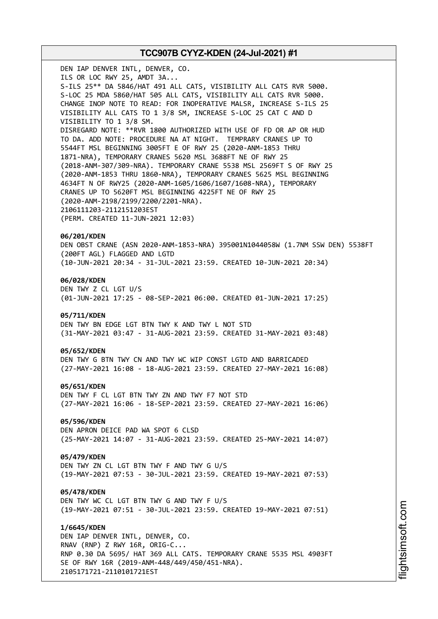DEN IAP DENVER INTL, DENVER, CO. ILS OR LOC RWY 25, AMDT 3A... S-ILS 25\*\* DA 5846/HAT 491 ALL CATS, VISIBILITY ALL CATS RVR 5000. S-LOC 25 MDA 5860/HAT 505 ALL CATS, VISIBILITY ALL CATS RVR 5000. CHANGE INOP NOTE TO READ: FOR INOPERATIVE MALSR, INCREASE S-ILS 25 VISIBILITY ALL CATS TO 1 3/8 SM, INCREASE S-LOC 25 CAT C AND D VISIBILITY TO 1 3/8 SM. DISREGARD NOTE: \*\*RVR 1800 AUTHORIZED WITH USE OF FD OR AP OR HUD TO DA. ADD NOTE: PROCEDURE NA AT NIGHT. TEMPRARY CRANES UP TO 5544FT MSL BEGINNING 3005FT E OF RWY 25 (2020-ANM-1853 THRU 1871-NRA), TEMPORARY CRANES 5620 MSL 3688FT NE OF RWY 25 (2018-ANM-307/309-NRA). TEMPORARY CRANE 5538 MSL 2569FT S OF RWY 25 (2020-ANM-1853 THRU 1860-NRA), TEMPORARY CRANES 5625 MSL BEGINNING 4634FT N OF RWY25 (2020-ANM-1605/1606/1607/1608-NRA), TEMPORARY CRANES UP TO 5620FT MSL BEGINNING 4225FT NE OF RWY 25 (2020-ANM-2198/2199/2200/2201-NRA). 2106111203-2112151203EST (PERM. CREATED 11-JUN-2021 12:03) **06/201/KDEN** DEN OBST CRANE (ASN 2020-ANM-1853-NRA) 395001N1044058W (1.7NM SSW DEN) 5538FT (200FT AGL) FLAGGED AND LGTD (10-JUN-2021 20:34 - 31-JUL-2021 23:59. CREATED 10-JUN-2021 20:34) **06/028/KDEN** DEN TWY Z CL LGT U/S (01-JUN-2021 17:25 - 08-SEP-2021 06:00. CREATED 01-JUN-2021 17:25) **05/711/KDEN** DEN TWY BN EDGE LGT BTN TWY K AND TWY L NOT STD (31-MAY-2021 03:47 - 31-AUG-2021 23:59. CREATED 31-MAY-2021 03:48) **05/652/KDEN** DEN TWY G BTN TWY CN AND TWY WC WIP CONST LGTD AND BARRICADED (27-MAY-2021 16:08 - 18-AUG-2021 23:59. CREATED 27-MAY-2021 16:08) **05/651/KDEN** DEN TWY F CL LGT BTN TWY ZN AND TWY F7 NOT STD (27-MAY-2021 16:06 - 18-SEP-2021 23:59. CREATED 27-MAY-2021 16:06) **05/596/KDEN** DEN APRON DEICE PAD WA SPOT 6 CLSD (25-MAY-2021 14:07 - 31-AUG-2021 23:59. CREATED 25-MAY-2021 14:07) **05/479/KDEN** DEN TWY ZN CL LGT BTN TWY F AND TWY G U/S (19-MAY-2021 07:53 - 30-JUL-2021 23:59. CREATED 19-MAY-2021 07:53) **05/478/KDEN** DEN TWY WC CL LGT BTN TWY G AND TWY F U/S (19-MAY-2021 07:51 - 30-JUL-2021 23:59. CREATED 19-MAY-2021 07:51) **1/6645/KDEN**

DEN IAP DENVER INTL, DENVER, CO. RNAV (RNP) Z RWY 16R, ORIG-C... RNP 0.30 DA 5695/ HAT 369 ALL CATS. TEMPORARY CRANE 5535 MSL 4903FT SE OF RWY 16R (2019-ANM-448/449/450/451-NRA). 2105171721-2110101721EST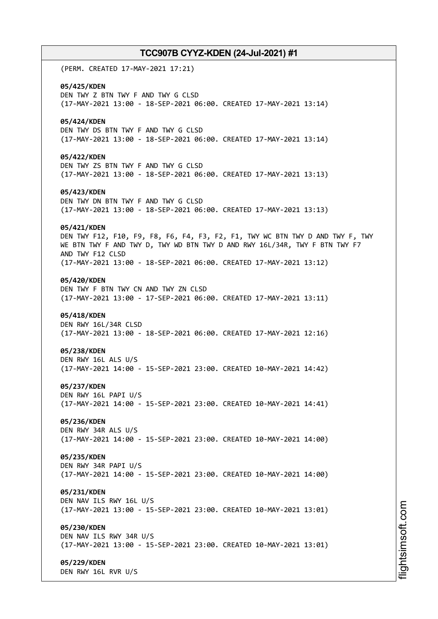(PERM. CREATED 17-MAY-2021 17:21) **05/425/KDEN** DEN TWY Z BTN TWY F AND TWY G CLSD (17-MAY-2021 13:00 - 18-SEP-2021 06:00. CREATED 17-MAY-2021 13:14) **05/424/KDEN** DEN TWY DS BTN TWY F AND TWY G CLSD (17-MAY-2021 13:00 - 18-SEP-2021 06:00. CREATED 17-MAY-2021 13:14) **05/422/KDEN** DEN TWY ZS BTN TWY F AND TWY G CLSD (17-MAY-2021 13:00 - 18-SEP-2021 06:00. CREATED 17-MAY-2021 13:13) **05/423/KDEN** DEN TWY DN BTN TWY F AND TWY G CLSD (17-MAY-2021 13:00 - 18-SEP-2021 06:00. CREATED 17-MAY-2021 13:13) **05/421/KDEN** DEN TWY F12, F10, F9, F8, F6, F4, F3, F2, F1, TWY WC BTN TWY D AND TWY F, TWY WE BTN TWY F AND TWY D, TWY WD BTN TWY D AND RWY 16L/34R, TWY F BTN TWY F7 AND TWY F12 CLSD (17-MAY-2021 13:00 - 18-SEP-2021 06:00. CREATED 17-MAY-2021 13:12) **05/420/KDEN** DEN TWY F BTN TWY CN AND TWY ZN CLSD (17-MAY-2021 13:00 - 17-SEP-2021 06:00. CREATED 17-MAY-2021 13:11) **05/418/KDEN** DEN RWY 16L/34R CLSD (17-MAY-2021 13:00 - 18-SEP-2021 06:00. CREATED 17-MAY-2021 12:16) **05/238/KDEN** DEN RWY 16L ALS U/S (17-MAY-2021 14:00 - 15-SEP-2021 23:00. CREATED 10-MAY-2021 14:42) **05/237/KDEN** DEN RWY 16L PAPI U/S (17-MAY-2021 14:00 - 15-SEP-2021 23:00. CREATED 10-MAY-2021 14:41) **05/236/KDEN** DEN RWY 34R ALS U/S (17-MAY-2021 14:00 - 15-SEP-2021 23:00. CREATED 10-MAY-2021 14:00) **05/235/KDEN** DEN RWY 34R PAPI U/S (17-MAY-2021 14:00 - 15-SEP-2021 23:00. CREATED 10-MAY-2021 14:00) **05/231/KDEN** DEN NAV ILS RWY 16L U/S (17-MAY-2021 13:00 - 15-SEP-2021 23:00. CREATED 10-MAY-2021 13:01) **05/230/KDEN** DEN NAV ILS RWY 34R U/S (17-MAY-2021 13:00 - 15-SEP-2021 23:00. CREATED 10-MAY-2021 13:01) **05/229/KDEN** DEN RWY 16L RVR U/S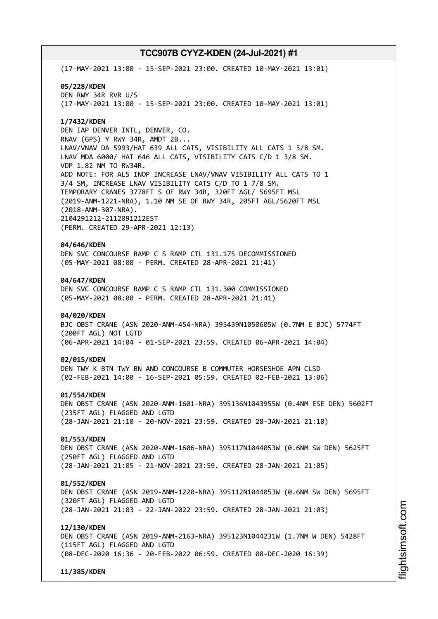(17-MAY-2021 13:00 - 15-SEP-2021 23:00. CREATED 10-MAY-2021 13:01) **05/228/KDEN** DEN RWY 34R RVR U/S (17-MAY-2021 13:00 - 15-SEP-2021 23:00. CREATED 10-MAY-2021 13:01) **1/7432/KDEN** DEN IAP DENVER INTL, DENVER, CO. RNAV (GPS) Y RWY 34R, AMDT 2B... LNAV/VNAV DA 5993/HAT 639 ALL CATS, VISIBILITY ALL CATS 1 3/8 SM. LNAV MDA 6000/ HAT 646 ALL CATS, VISIBILITY CATS C/D 1 3/8 SM. VDP 1.82 NM TO RW34R. ADD NOTE: FOR ALS INOP INCREASE LNAV/VNAV VISIBILITY ALL CATS TO 1 3/4 SM, INCREASE LNAV VISIBILITY CATS C/D TO 1 7/8 SM. TEMPORARY CRANES 3778FT S OF RWY 34R, 320FT AGL/ 5695FT MSL (2019-ANM-1221-NRA), 1.10 NM SE OF RWY 34R, 205FT AGL/5620FT MSL (2018-ANM-307-NRA). 2104291212-2112091212EST (PERM. CREATED 29-APR-2021 12:13) **04/646/KDEN** DEN SVC CONCOURSE RAMP C S RAMP CTL 131.175 DECOMMISSIONED (05-MAY-2021 08:00 - PERM. CREATED 28-APR-2021 21:41) **04/647/KDEN** DEN SVC CONCOURSE RAMP C S RAMP CTL 131.300 COMMISSIONED (05-MAY-2021 08:00 - PERM. CREATED 28-APR-2021 21:41) **04/020/KDEN** BJC OBST CRANE (ASN 2020-ANM-454-NRA) 395439N1050605W (0.7NM E BJC) 5774FT (200FT AGL) NOT LGTD (06-APR-2021 14:04 - 01-SEP-2021 23:59. CREATED 06-APR-2021 14:04) **02/015/KDEN** DEN TWY K BTN TWY BN AND CONCOURSE B COMMUTER HORSESHOE APN CLSD (02-FEB-2021 14:00 - 16-SEP-2021 05:59. CREATED 02-FEB-2021 13:06) **01/554/KDEN** DEN OBST CRANE (ASN 2020-ANM-1601-NRA) 395136N1043955W (0.4NM ESE DEN) 5602FT (235FT AGL) FLAGGED AND LGTD (28-JAN-2021 21:10 - 20-NOV-2021 23:59. CREATED 28-JAN-2021 21:10) **01/553/KDEN** DEN OBST CRANE (ASN 2020-ANM-1606-NRA) 395117N1044053W (0.6NM SW DEN) 5625FT (250FT AGL) FLAGGED AND LGTD (28-JAN-2021 21:05 - 21-NOV-2021 23:59. CREATED 28-JAN-2021 21:05) **01/552/KDEN** DEN OBST CRANE (ASN 2019-ANM-1220-NRA) 395112N1044053W (0.6NM SW DEN) 5695FT (320FT AGL) FLAGGED AND LGTD (28-JAN-2021 21:03 - 22-JAN-2022 23:59. CREATED 28-JAN-2021 21:03) **12/130/KDEN** DEN OBST CRANE (ASN 2019-ANM-2163-NRA) 395123N1044231W (1.7NM W DEN) 5428FT (115FT AGL) FLAGGED AND LGTD (08-DEC-2020 16:36 - 20-FEB-2022 06:59. CREATED 08-DEC-2020 16:39) **11/385/KDEN**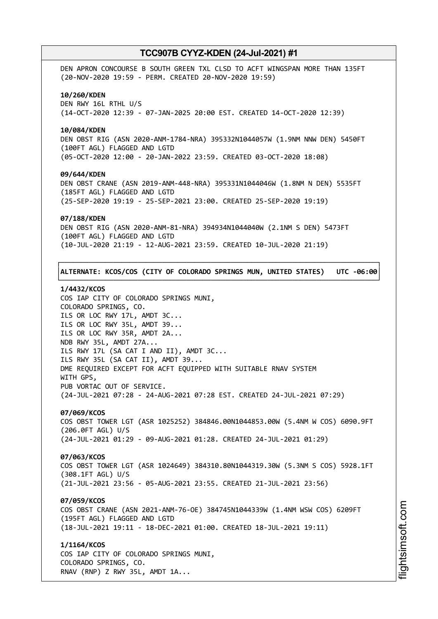DEN APRON CONCOURSE B SOUTH GREEN TXL CLSD TO ACFT WINGSPAN MORE THAN 135FT (20-NOV-2020 19:59 - PERM. CREATED 20-NOV-2020 19:59) **10/260/KDEN** DEN RWY 16L RTHL U/S (14-OCT-2020 12:39 - 07-JAN-2025 20:00 EST. CREATED 14-OCT-2020 12:39) **10/084/KDEN** DEN OBST RIG (ASN 2020-ANM-1784-NRA) 395332N1044057W (1.9NM NNW DEN) 5450FT (100FT AGL) FLAGGED AND LGTD (05-OCT-2020 12:00 - 20-JAN-2022 23:59. CREATED 03-OCT-2020 18:08) **09/644/KDEN** DEN OBST CRANE (ASN 2019-ANM-448-NRA) 395331N1044046W (1.8NM N DEN) 5535FT (185FT AGL) FLAGGED AND LGTD (25-SEP-2020 19:19 - 25-SEP-2021 23:00. CREATED 25-SEP-2020 19:19) **07/188/KDEN** DEN OBST RIG (ASN 2020-ANM-81-NRA) 394934N1044040W (2.1NM S DEN) 5473FT (100FT AGL) FLAGGED AND LGTD (10-JUL-2020 21:19 - 12-AUG-2021 23:59. CREATED 10-JUL-2020 21:19) ┌──────────────────────────────────────────────────────────────────────────────┐

## │**ALTERNATE: KCOS/COS (CITY OF COLORADO SPRINGS MUN, UNITED STATES) UTC -06:00**│ └──────────────────────────────────────────────────────────────────────────────┘

## **1/4432/KCOS**

COS IAP CITY OF COLORADO SPRINGS MUNI, COLORADO SPRINGS, CO. ILS OR LOC RWY 17L, AMDT 3C... ILS OR LOC RWY 35L, AMDT 39... ILS OR LOC RWY 35R, AMDT 2A... NDB RWY 35L, AMDT 27A... ILS RWY 17L (SA CAT I AND II), AMDT 3C... ILS RWY 35L (SA CAT II), AMDT 39... DME REQUIRED EXCEPT FOR ACFT EQUIPPED WITH SUITABLE RNAV SYSTEM WITH GPS, PUB VORTAC OUT OF SERVICE. (24-JUL-2021 07:28 - 24-AUG-2021 07:28 EST. CREATED 24-JUL-2021 07:29)

## **07/069/KCOS**

COS OBST TOWER LGT (ASR 1025252) 384846.00N1044853.00W (5.4NM W COS) 6090.9FT (206.0FT AGL) U/S (24-JUL-2021 01:29 - 09-AUG-2021 01:28. CREATED 24-JUL-2021 01:29)

## **07/063/KCOS**

COS OBST TOWER LGT (ASR 1024649) 384310.80N1044319.30W (5.3NM S COS) 5928.1FT (308.1FT AGL) U/S (21-JUL-2021 23:56 - 05-AUG-2021 23:55. CREATED 21-JUL-2021 23:56)

## **07/059/KCOS**

COS OBST CRANE (ASN 2021-ANM-76-OE) 384745N1044339W (1.4NM WSW COS) 6209FT (195FT AGL) FLAGGED AND LGTD (18-JUL-2021 19:11 - 18-DEC-2021 01:00. CREATED 18-JUL-2021 19:11)

## **1/1164/KCOS**

COS IAP CITY OF COLORADO SPRINGS MUNI, COLORADO SPRINGS, CO. RNAV (RNP) Z RWY 35L, AMDT 1A...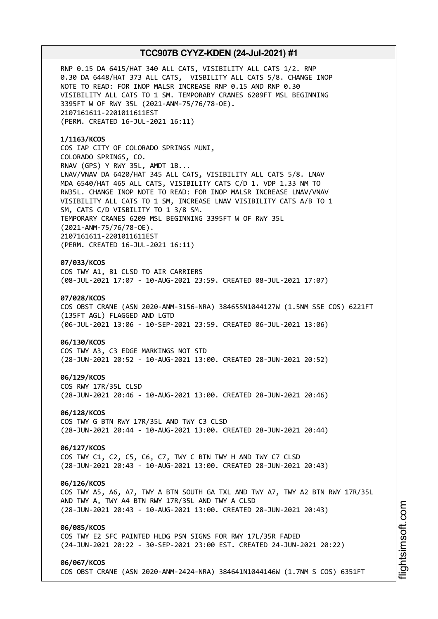RNP 0.15 DA 6415/HAT 340 ALL CATS, VISIBILITY ALL CATS 1/2. RNP 0.30 DA 6448/HAT 373 ALL CATS, VISBILITY ALL CATS 5/8. CHANGE INOP NOTE TO READ: FOR INOP MALSR INCREASE RNP 0.15 AND RNP 0.30 VISIBILITY ALL CATS TO 1 SM. TEMPORARY CRANES 6209FT MSL BEGINNING 3395FT W OF RWY 35L (2021-ANM-75/76/78-OE). 2107161611-2201011611EST (PERM. CREATED 16-JUL-2021 16:11)

**1/1163/KCOS** COS IAP CITY OF COLORADO SPRINGS MUNI, COLORADO SPRINGS, CO. RNAV (GPS) Y RWY 35L, AMDT 1B... LNAV/VNAV DA 6420/HAT 345 ALL CATS, VISIBILITY ALL CATS 5/8. LNAV MDA 6540/HAT 465 ALL CATS, VISIBILITY CATS C/D 1. VDP 1.33 NM TO RW35L. CHANGE INOP NOTE TO READ: FOR INOP MALSR INCREASE LNAV/VNAV VISIBILITY ALL CATS TO 1 SM, INCREASE LNAV VISIBILITY CATS A/B TO 1 SM, CATS C/D VISBILITY TO 1 3/8 SM. TEMPORARY CRANES 6209 MSL BEGINNING 3395FT W OF RWY 35L (2021-ANM-75/76/78-OE). 2107161611-2201011611EST (PERM. CREATED 16-JUL-2021 16:11)

### **07/033/KCOS**

COS TWY A1, B1 CLSD TO AIR CARRIERS (08-JUL-2021 17:07 - 10-AUG-2021 23:59. CREATED 08-JUL-2021 17:07)

## **07/028/KCOS**

COS OBST CRANE (ASN 2020-ANM-3156-NRA) 384655N1044127W (1.5NM SSE COS) 6221FT (135FT AGL) FLAGGED AND LGTD (06-JUL-2021 13:06 - 10-SEP-2021 23:59. CREATED 06-JUL-2021 13:06)

#### **06/130/KCOS**

COS TWY A3, C3 EDGE MARKINGS NOT STD (28-JUN-2021 20:52 - 10-AUG-2021 13:00. CREATED 28-JUN-2021 20:52)

#### **06/129/KCOS**

COS RWY 17R/35L CLSD (28-JUN-2021 20:46 - 10-AUG-2021 13:00. CREATED 28-JUN-2021 20:46)

#### **06/128/KCOS**

COS TWY G BTN RWY 17R/35L AND TWY C3 CLSD (28-JUN-2021 20:44 - 10-AUG-2021 13:00. CREATED 28-JUN-2021 20:44)

## **06/127/KCOS**

COS TWY C1, C2, C5, C6, C7, TWY C BTN TWY H AND TWY C7 CLSD (28-JUN-2021 20:43 - 10-AUG-2021 13:00. CREATED 28-JUN-2021 20:43)

#### **06/126/KCOS**

COS TWY A5, A6, A7, TWY A BTN SOUTH GA TXL AND TWY A7, TWY A2 BTN RWY 17R/35L AND TWY A, TWY A4 BTN RWY 17R/35L AND TWY A CLSD (28-JUN-2021 20:43 - 10-AUG-2021 13:00. CREATED 28-JUN-2021 20:43)

### **06/085/KCOS**

COS TWY E2 SFC PAINTED HLDG PSN SIGNS FOR RWY 17L/35R FADED (24-JUN-2021 20:22 - 30-SEP-2021 23:00 EST. CREATED 24-JUN-2021 20:22)

#### **06/067/KCOS**

COS OBST CRANE (ASN 2020-ANM-2424-NRA) 384641N1044146W (1.7NM S COS) 6351FT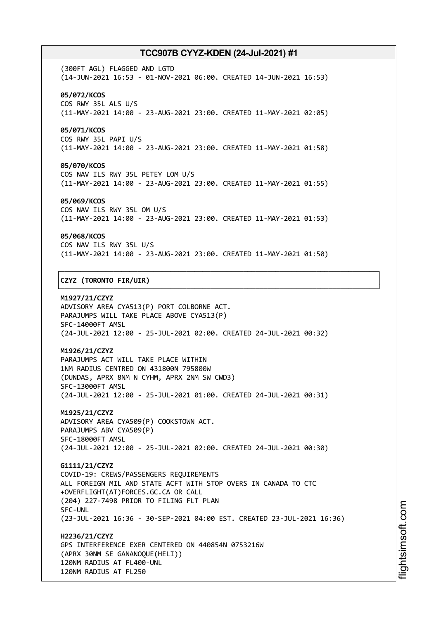(300FT AGL) FLAGGED AND LGTD (14-JUN-2021 16:53 - 01-NOV-2021 06:00. CREATED 14-JUN-2021 16:53) **05/072/KCOS** COS RWY 35L ALS U/S (11-MAY-2021 14:00 - 23-AUG-2021 23:00. CREATED 11-MAY-2021 02:05)

### **05/071/KCOS**

COS RWY 35L PAPI U/S (11-MAY-2021 14:00 - 23-AUG-2021 23:00. CREATED 11-MAY-2021 01:58)

### **05/070/KCOS**

COS NAV ILS RWY 35L PETEY LOM U/S (11-MAY-2021 14:00 - 23-AUG-2021 23:00. CREATED 11-MAY-2021 01:55)

#### **05/069/KCOS**

COS NAV ILS RWY 35L OM U/S (11-MAY-2021 14:00 - 23-AUG-2021 23:00. CREATED 11-MAY-2021 01:53)

#### **05/068/KCOS**

COS NAV ILS RWY 35L U/S (11-MAY-2021 14:00 - 23-AUG-2021 23:00. CREATED 11-MAY-2021 01:50)

┌──────────────────────────────────────────────────────────────────────────────┐

└──────────────────────────────────────────────────────────────────────────────┘

## │**CZYZ (TORONTO FIR/UIR)** │

**M1927/21/CZYZ** ADVISORY AREA CYA513(P) PORT COLBORNE ACT. PARAJUMPS WILL TAKE PLACE ABOVE CYA513(P) SFC-14000FT AMSL (24-JUL-2021 12:00 - 25-JUL-2021 02:00. CREATED 24-JUL-2021 00:32)

## **M1926/21/CZYZ**

PARAJUMPS ACT WILL TAKE PLACE WITHIN 1NM RADIUS CENTRED ON 431800N 795800W (DUNDAS, APRX 8NM N CYHM, APRX 2NM SW CWD3) SFC-13000FT AMSL (24-JUL-2021 12:00 - 25-JUL-2021 01:00. CREATED 24-JUL-2021 00:31)

**M1925/21/CZYZ** ADVISORY AREA CYA509(P) COOKSTOWN ACT. PARAJUMPS ABV CYA509(P) SFC-18000FT AMSL (24-JUL-2021 12:00 - 25-JUL-2021 02:00. CREATED 24-JUL-2021 00:30)

**G1111/21/CZYZ** COVID-19: CREWS/PASSENGERS REQUIREMENTS ALL FOREIGN MIL AND STATE ACFT WITH STOP OVERS IN CANADA TO CTC +OVERFLIGHT(AT)FORCES.GC.CA OR CALL (204) 227-7498 PRIOR TO FILING FLT PLAN SFC-UNL (23-JUL-2021 16:36 - 30-SEP-2021 04:00 EST. CREATED 23-JUL-2021 16:36)

**H2236/21/CZYZ** GPS INTERFERENCE EXER CENTERED ON 440854N 0753216W (APRX 30NM SE GANANOQUE(HELI)) 120NM RADIUS AT FL400-UNL 120NM RADIUS AT FL250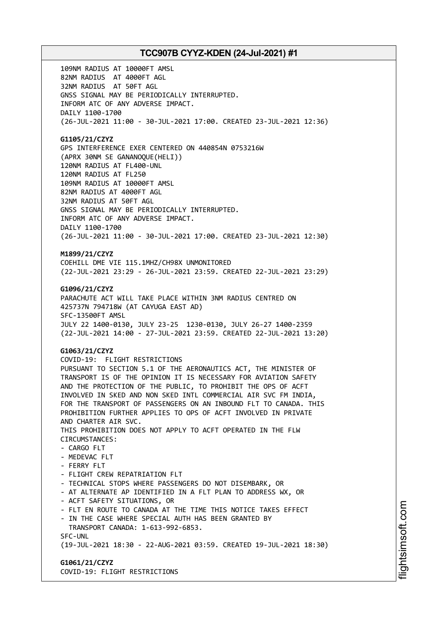109NM RADIUS AT 10000FT AMSL 82NM RADIUS AT 4000FT AGL 32NM RADIUS AT 50FT AGL GNSS SIGNAL MAY BE PERIODICALLY INTERRUPTED. INFORM ATC OF ANY ADVERSE IMPACT. DAILY 1100-1700 (26-JUL-2021 11:00 - 30-JUL-2021 17:00. CREATED 23-JUL-2021 12:36)

## **G1105/21/CZYZ**

GPS INTERFERENCE EXER CENTERED ON 440854N 0753216W (APRX 30NM SE GANANOQUE(HELI)) 120NM RADIUS AT FL400-UNL 120NM RADIUS AT FL250 109NM RADIUS AT 10000FT AMSL 82NM RADIUS AT 4000FT AGL 32NM RADIUS AT 50FT AGL GNSS SIGNAL MAY BE PERIODICALLY INTERRUPTED. INFORM ATC OF ANY ADVERSE IMPACT. DAILY 1100-1700 (26-JUL-2021 11:00 - 30-JUL-2021 17:00. CREATED 23-JUL-2021 12:30)

## **M1899/21/CZYZ**

COEHILL DME VIE 115.1MHZ/CH98X UNMONITORED (22-JUL-2021 23:29 - 26-JUL-2021 23:59. CREATED 22-JUL-2021 23:29)

## **G1096/21/CZYZ**

PARACHUTE ACT WILL TAKE PLACE WITHIN 3NM RADIUS CENTRED ON 425737N 794718W (AT CAYUGA EAST AD) SFC-13500FT AMSL JULY 22 1400-0130, JULY 23-25 1230-0130, JULY 26-27 1400-2359 (22-JUL-2021 14:00 - 27-JUL-2021 23:59. CREATED 22-JUL-2021 13:20)

## **G1063/21/CZYZ**

COVID-19: FLIGHT RESTRICTIONS PURSUANT TO SECTION 5.1 OF THE AERONAUTICS ACT, THE MINISTER OF TRANSPORT IS OF THE OPINION IT IS NECESSARY FOR AVIATION SAFETY AND THE PROTECTION OF THE PUBLIC, TO PROHIBIT THE OPS OF ACFT INVOLVED IN SKED AND NON SKED INTL COMMERCIAL AIR SVC FM INDIA, FOR THE TRANSPORT OF PASSENGERS ON AN INBOUND FLT TO CANADA. THIS PROHIBITION FURTHER APPLIES TO OPS OF ACFT INVOLVED IN PRIVATE AND CHARTER AIR SVC. THIS PROHIBITION DOES NOT APPLY TO ACFT OPERATED IN THE FLW CIRCUMSTANCES: - CARGO FLT - MEDEVAC FLT - FERRY FLT - FLIGHT CREW REPATRIATION FLT - TECHNICAL STOPS WHERE PASSENGERS DO NOT DISEMBARK, OR - AT ALTERNATE AP IDENTIFIED IN A FLT PLAN TO ADDRESS WX, OR - ACFT SAFETY SITUATIONS, OR - FLT EN ROUTE TO CANADA AT THE TIME THIS NOTICE TAKES EFFECT - IN THE CASE WHERE SPECIAL AUTH HAS BEEN GRANTED BY TRANSPORT CANADA: 1-613-992-6853. SFC-UNL (19-JUL-2021 18:30 - 22-AUG-2021 03:59. CREATED 19-JUL-2021 18:30)

## **G1061/21/CZYZ** COVID-19: FLIGHT RESTRICTIONS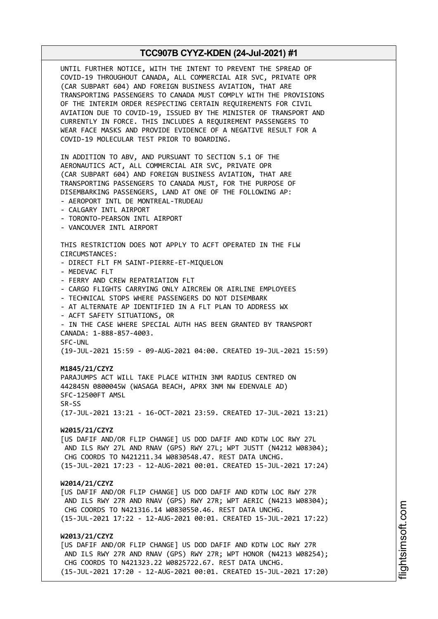UNTIL FURTHER NOTICE, WITH THE INTENT TO PREVENT THE SPREAD OF COVID-19 THROUGHOUT CANADA, ALL COMMERCIAL AIR SVC, PRIVATE OPR (CAR SUBPART 604) AND FOREIGN BUSINESS AVIATION, THAT ARE TRANSPORTING PASSENGERS TO CANADA MUST COMPLY WITH THE PROVISIONS OF THE INTERIM ORDER RESPECTING CERTAIN REQUIREMENTS FOR CIVIL AVIATION DUE TO COVID-19, ISSUED BY THE MINISTER OF TRANSPORT AND CURRENTLY IN FORCE. THIS INCLUDES A REQUIREMENT PASSENGERS TO WEAR FACE MASKS AND PROVIDE EVIDENCE OF A NEGATIVE RESULT FOR A COVID-19 MOLECULAR TEST PRIOR TO BOARDING. IN ADDITION TO ABV, AND PURSUANT TO SECTION 5.1 OF THE AERONAUTICS ACT, ALL COMMERCIAL AIR SVC, PRIVATE OPR (CAR SUBPART 604) AND FOREIGN BUSINESS AVIATION, THAT ARE TRANSPORTING PASSENGERS TO CANADA MUST, FOR THE PURPOSE OF DISEMBARKING PASSENGERS, LAND AT ONE OF THE FOLLOWING AP: - AEROPORT INTL DE MONTREAL-TRUDEAU - CALGARY INTL AIRPORT - TORONTO-PEARSON INTL AIRPORT - VANCOUVER INTL AIRPORT THIS RESTRICTION DOES NOT APPLY TO ACFT OPERATED IN THE FLW CIRCUMSTANCES: - DIRECT FLT FM SAINT-PIERRE-ET-MIQUELON - MEDEVAC FLT - FERRY AND CREW REPATRIATION FLT - CARGO FLIGHTS CARRYING ONLY AIRCREW OR AIRLINE EMPLOYEES - TECHNICAL STOPS WHERE PASSENGERS DO NOT DISEMBARK - AT ALTERNATE AP IDENTIFIED IN A FLT PLAN TO ADDRESS WX - ACFT SAFETY SITUATIONS, OR - IN THE CASE WHERE SPECIAL AUTH HAS BEEN GRANTED BY TRANSPORT CANADA: 1-888-857-4003. SFC-UNL (19-JUL-2021 15:59 - 09-AUG-2021 04:00. CREATED 19-JUL-2021 15:59) **M1845/21/CZYZ** PARAJUMPS ACT WILL TAKE PLACE WITHIN 3NM RADIUS CENTRED ON 442845N 0800045W (WASAGA BEACH, APRX 3NM NW EDENVALE AD) SFC-12500FT AMSL SR-SS (17-JUL-2021 13:21 - 16-OCT-2021 23:59. CREATED 17-JUL-2021 13:21) **W2015/21/CZYZ** [US DAFIF AND/OR FLIP CHANGE] US DOD DAFIF AND KDTW LOC RWY 27L AND ILS RWY 27L AND RNAV (GPS) RWY 27L; WPT JUSTT (N4212 W08304); CHG COORDS TO N421211.34 W0830548.47. REST DATA UNCHG. (15-JUL-2021 17:23 - 12-AUG-2021 00:01. CREATED 15-JUL-2021 17:24) **W2014/21/CZYZ** [US DAFIF AND/OR FLIP CHANGE] US DOD DAFIF AND KDTW LOC RWY 27R AND ILS RWY 27R AND RNAV (GPS) RWY 27R; WPT AERIC (N4213 W08304); CHG COORDS TO N421316.14 W0830550.46. REST DATA UNCHG. (15-JUL-2021 17:22 - 12-AUG-2021 00:01. CREATED 15-JUL-2021 17:22) **W2013/21/CZYZ** [US DAFIF AND/OR FLIP CHANGE] US DOD DAFIF AND KDTW LOC RWY 27R AND ILS RWY 27R AND RNAV (GPS) RWY 27R; WPT HONOR (N4213 W08254); CHG COORDS TO N421323.22 W0825722.67. REST DATA UNCHG. (15-JUL-2021 17:20 - 12-AUG-2021 00:01. CREATED 15-JUL-2021 17:20)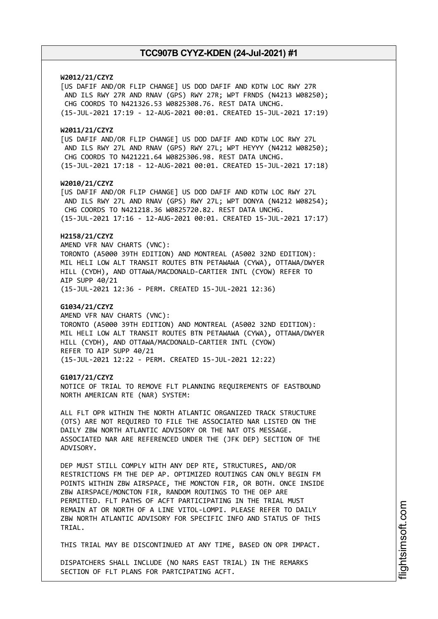## **W2012/21/CZYZ**

[US DAFIF AND/OR FLIP CHANGE] US DOD DAFIF AND KDTW LOC RWY 27R AND ILS RWY 27R AND RNAV (GPS) RWY 27R; WPT FRNDS (N4213 W08250); CHG COORDS TO N421326.53 W0825308.76. REST DATA UNCHG. (15-JUL-2021 17:19 - 12-AUG-2021 00:01. CREATED 15-JUL-2021 17:19)

#### **W2011/21/CZYZ**

[US DAFIF AND/OR FLIP CHANGE] US DOD DAFIF AND KDTW LOC RWY 27L AND ILS RWY 27L AND RNAV (GPS) RWY 27L; WPT HEYYY (N4212 W08250); CHG COORDS TO N421221.64 W0825306.98. REST DATA UNCHG. (15-JUL-2021 17:18 - 12-AUG-2021 00:01. CREATED 15-JUL-2021 17:18)

#### **W2010/21/CZYZ**

[US DAFIF AND/OR FLIP CHANGE] US DOD DAFIF AND KDTW LOC RWY 27L AND ILS RWY 27L AND RNAV (GPS) RWY 27L; WPT DONYA (N4212 W08254); CHG COORDS TO N421218.36 W0825720.82. REST DATA UNCHG.

## (15-JUL-2021 17:16 - 12-AUG-2021 00:01. CREATED 15-JUL-2021 17:17)

## **H2158/21/CZYZ**

AMEND VFR NAV CHARTS (VNC): TORONTO (A5000 39TH EDITION) AND MONTREAL (A5002 32ND EDITION): MIL HELI LOW ALT TRANSIT ROUTES BTN PETAWAWA (CYWA), OTTAWA/DWYER HILL (CYDH), AND OTTAWA/MACDONALD-CARTIER INTL (CYOW) REFER TO AIP SUPP 40/21

(15-JUL-2021 12:36 - PERM. CREATED 15-JUL-2021 12:36)

### **G1034/21/CZYZ**

AMEND VFR NAV CHARTS (VNC): TORONTO (A5000 39TH EDITION) AND MONTREAL (A5002 32ND EDITION): MIL HELI LOW ALT TRANSIT ROUTES BTN PETAWAWA (CYWA), OTTAWA/DWYER HILL (CYDH), AND OTTAWA/MACDONALD-CARTIER INTL (CYOW) REFER TO AIP SUPP 40/21 (15-JUL-2021 12:22 - PERM. CREATED 15-JUL-2021 12:22)

#### **G1017/21/CZYZ**

NOTICE OF TRIAL TO REMOVE FLT PLANNING REQUIREMENTS OF EASTBOUND NORTH AMERICAN RTE (NAR) SYSTEM:

ALL FLT OPR WITHIN THE NORTH ATLANTIC ORGANIZED TRACK STRUCTURE (OTS) ARE NOT REQUIRED TO FILE THE ASSOCIATED NAR LISTED ON THE DAILY ZBW NORTH ATLANTIC ADVISORY OR THE NAT OTS MESSAGE. ASSOCIATED NAR ARE REFERENCED UNDER THE (JFK DEP) SECTION OF THE ADVISORY.

DEP MUST STILL COMPLY WITH ANY DEP RTE, STRUCTURES, AND/OR RESTRICTIONS FM THE DEP AP. OPTIMIZED ROUTINGS CAN ONLY BEGIN FM POINTS WITHIN ZBW AIRSPACE, THE MONCTON FIR, OR BOTH. ONCE INSIDE ZBW AIRSPACE/MONCTON FIR, RANDOM ROUTINGS TO THE OEP ARE PERMITTED. FLT PATHS OF ACFT PARTICIPATING IN THE TRIAL MUST REMAIN AT OR NORTH OF A LINE VITOL-LOMPI. PLEASE REFER TO DAILY ZBW NORTH ATLANTIC ADVISORY FOR SPECIFIC INFO AND STATUS OF THIS TRIAL.

THIS TRIAL MAY BE DISCONTINUED AT ANY TIME, BASED ON OPR IMPACT.

DISPATCHERS SHALL INCLUDE (NO NARS EAST TRIAL) IN THE REMARKS SECTION OF FLT PLANS FOR PARTCIPATING ACFT.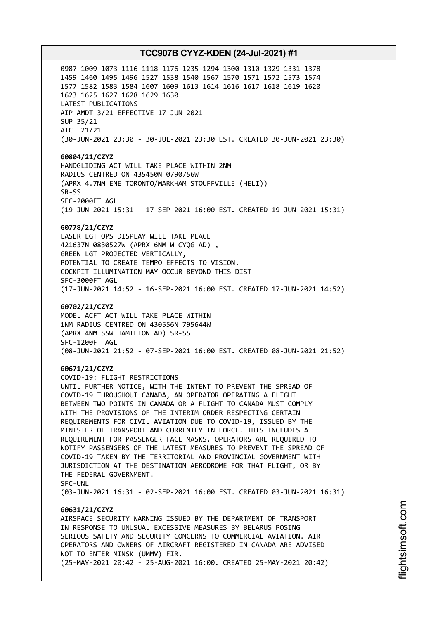0987 1009 1073 1116 1118 1176 1235 1294 1300 1310 1329 1331 1378 1459 1460 1495 1496 1527 1538 1540 1567 1570 1571 1572 1573 1574 1577 1582 1583 1584 1607 1609 1613 1614 1616 1617 1618 1619 1620 1623 1625 1627 1628 1629 1630 LATEST PUBLICATIONS AIP AMDT 3/21 EFFECTIVE 17 JUN 2021 SUP 35/21 AIC 21/21 (30-JUN-2021 23:30 - 30-JUL-2021 23:30 EST. CREATED 30-JUN-2021 23:30)

**G0804/21/CZYZ** HANDGLIDING ACT WILL TAKE PLACE WITHIN 2NM RADIUS CENTRED ON 435450N 0790756W (APRX 4.7NM ENE TORONTO/MARKHAM STOUFFVILLE (HELI)) SR-SS SFC-2000FT AGL (19-JUN-2021 15:31 - 17-SEP-2021 16:00 EST. CREATED 19-JUN-2021 15:31)

#### **G0778/21/CZYZ**

LASER LGT OPS DISPLAY WILL TAKE PLACE 421637N 0830527W (APRX 6NM W CYQG AD) , GREEN LGT PROJECTED VERTICALLY, POTENTIAL TO CREATE TEMPO EFFECTS TO VISION. COCKPIT ILLUMINATION MAY OCCUR BEYOND THIS DIST SFC-3000FT AGL (17-JUN-2021 14:52 - 16-SEP-2021 16:00 EST. CREATED 17-JUN-2021 14:52)

#### **G0702/21/CZYZ**

MODEL ACFT ACT WILL TAKE PLACE WITHIN 1NM RADIUS CENTRED ON 430556N 795644W (APRX 4NM SSW HAMILTON AD) SR-SS SFC-1200FT AGL (08-JUN-2021 21:52 - 07-SEP-2021 16:00 EST. CREATED 08-JUN-2021 21:52)

#### **G0671/21/CZYZ**

COVID-19: FLIGHT RESTRICTIONS UNTIL FURTHER NOTICE, WITH THE INTENT TO PREVENT THE SPREAD OF COVID-19 THROUGHOUT CANADA, AN OPERATOR OPERATING A FLIGHT BETWEEN TWO POINTS IN CANADA OR A FLIGHT TO CANADA MUST COMPLY WITH THE PROVISIONS OF THE INTERIM ORDER RESPECTING CERTAIN REQUIREMENTS FOR CIVIL AVIATION DUE TO COVID-19, ISSUED BY THE MINISTER OF TRANSPORT AND CURRENTLY IN FORCE. THIS INCLUDES A REQUIREMENT FOR PASSENGER FACE MASKS. OPERATORS ARE REQUIRED TO NOTIFY PASSENGERS OF THE LATEST MEASURES TO PREVENT THE SPREAD OF COVID-19 TAKEN BY THE TERRITORIAL AND PROVINCIAL GOVERNMENT WITH JURISDICTION AT THE DESTINATION AERODROME FOR THAT FLIGHT, OR BY THE FEDERAL GOVERNMENT. SFC-UNL

(03-JUN-2021 16:31 - 02-SEP-2021 16:00 EST. CREATED 03-JUN-2021 16:31)

## **G0631/21/CZYZ**

AIRSPACE SECURITY WARNING ISSUED BY THE DEPARTMENT OF TRANSPORT IN RESPONSE TO UNUSUAL EXCESSIVE MEASURES BY BELARUS POSING SERIOUS SAFETY AND SECURITY CONCERNS TO COMMERCIAL AVIATION. AIR OPERATORS AND OWNERS OF AIRCRAFT REGISTERED IN CANADA ARE ADVISED NOT TO ENTER MINSK (UMMV) FIR. (25-MAY-2021 20:42 - 25-AUG-2021 16:00. CREATED 25-MAY-2021 20:42)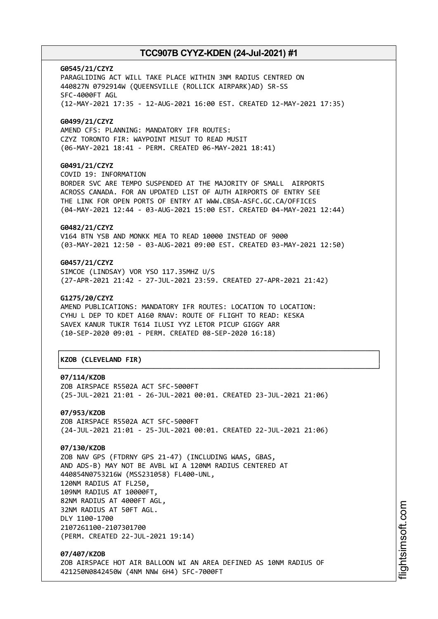**G0545/21/CZYZ** PARAGLIDING ACT WILL TAKE PLACE WITHIN 3NM RADIUS CENTRED ON 440827N 0792914W (QUEENSVILLE (ROLLICK AIRPARK)AD) SR-SS SFC-4000FT AGL (12-MAY-2021 17:35 - 12-AUG-2021 16:00 EST. CREATED 12-MAY-2021 17:35) **G0499/21/CZYZ**

AMEND CFS: PLANNING: MANDATORY IFR ROUTES: CZYZ TORONTO FIR: WAYPOINT MISUT TO READ MUSIT (06-MAY-2021 18:41 - PERM. CREATED 06-MAY-2021 18:41)

## **G0491/21/CZYZ**

COVID 19: INFORMATION BORDER SVC ARE TEMPO SUSPENDED AT THE MAJORITY OF SMALL AIRPORTS ACROSS CANADA. FOR AN UPDATED LIST OF AUTH AIRPORTS OF ENTRY SEE THE LINK FOR OPEN PORTS OF ENTRY AT WWW.CBSA-ASFC.GC.CA/OFFICES (04-MAY-2021 12:44 - 03-AUG-2021 15:00 EST. CREATED 04-MAY-2021 12:44)

## **G0482/21/CZYZ**

V164 BTN YSB AND MONKK MEA TO READ 10000 INSTEAD OF 9000 (03-MAY-2021 12:50 - 03-AUG-2021 09:00 EST. CREATED 03-MAY-2021 12:50)

## **G0457/21/CZYZ**

SIMCOE (LINDSAY) VOR YSO 117.35MHZ U/S (27-APR-2021 21:42 - 27-JUL-2021 23:59. CREATED 27-APR-2021 21:42)

#### **G1275/20/CZYZ**

AMEND PUBLICATIONS: MANDATORY IFR ROUTES: LOCATION TO LOCATION: CYHU L DEP TO KDET A160 RNAV: ROUTE OF FLIGHT TO READ: KESKA SAVEX KANUR TUKIR T614 ILUSI YYZ LETOR PICUP GIGGY ARR (10-SEP-2020 09:01 - PERM. CREATED 08-SEP-2020 16:18)

## │**KZOB (CLEVELAND FIR)** │

#### **07/114/KZOB**

ZOB AIRSPACE R5502A ACT SFC-5000FT (25-JUL-2021 21:01 - 26-JUL-2021 00:01. CREATED 23-JUL-2021 21:06)

┌──────────────────────────────────────────────────────────────────────────────┐

└──────────────────────────────────────────────────────────────────────────────┘

**07/953/KZOB** ZOB AIRSPACE R5502A ACT SFC-5000FT (24-JUL-2021 21:01 - 25-JUL-2021 00:01. CREATED 22-JUL-2021 21:06)

## **07/130/KZOB**

ZOB NAV GPS (FTDRNY GPS 21-47) (INCLUDING WAAS, GBAS, AND ADS-B) MAY NOT BE AVBL WI A 120NM RADIUS CENTERED AT 440854N0753216W (MSS231058) FL400-UNL, 120NM RADIUS AT FL250, 109NM RADIUS AT 10000FT, 82NM RADIUS AT 4000FT AGL, 32NM RADIUS AT 50FT AGL. DLY 1100-1700 2107261100-2107301700 (PERM. CREATED 22-JUL-2021 19:14)

**07/407/KZOB** ZOB AIRSPACE HOT AIR BALLOON WI AN AREA DEFINED AS 10NM RADIUS OF 421250N0842450W (4NM NNW 6H4) SFC-7000FT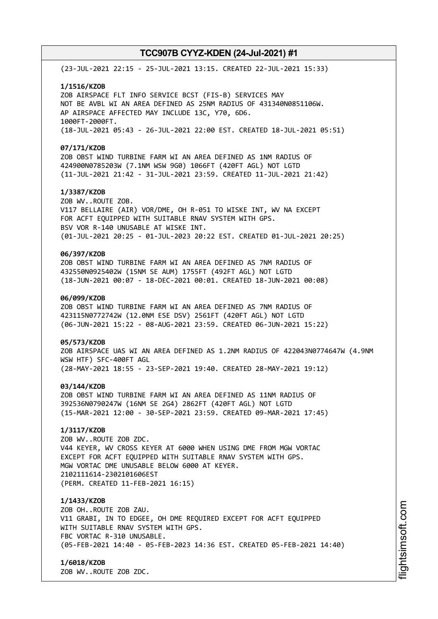(23-JUL-2021 22:15 - 25-JUL-2021 13:15. CREATED 22-JUL-2021 15:33)

#### **1/1516/KZOB**

ZOB AIRSPACE FLT INFO SERVICE BCST (FIS-B) SERVICES MAY NOT BE AVBL WI AN AREA DEFINED AS 25NM RADIUS OF 431340N0851106W. AP AIRSPACE AFFECTED MAY INCLUDE 13C, Y70, 6D6. 1000FT-2000FT. (18-JUL-2021 05:43 - 26-JUL-2021 22:00 EST. CREATED 18-JUL-2021 05:51)

#### **07/171/KZOB**

ZOB OBST WIND TURBINE FARM WI AN AREA DEFINED AS 1NM RADIUS OF 424900N0785203W (7.1NM WSW 9G0) 1066FT (420FT AGL) NOT LGTD (11-JUL-2021 21:42 - 31-JUL-2021 23:59. CREATED 11-JUL-2021 21:42)

## **1/3387/KZOB**

ZOB WV..ROUTE ZOB. V117 BELLAIRE (AIR) VOR/DME, OH R-051 TO WISKE INT, WV NA EXCEPT FOR ACFT EQUIPPED WITH SUITABLE RNAV SYSTEM WITH GPS. BSV VOR R-140 UNUSABLE AT WISKE INT. (01-JUL-2021 20:25 - 01-JUL-2023 20:22 EST. CREATED 01-JUL-2021 20:25)

## **06/397/KZOB**

ZOB OBST WIND TURBINE FARM WI AN AREA DEFINED AS 7NM RADIUS OF 432550N0925402W (15NM SE AUM) 1755FT (492FT AGL) NOT LGTD (18-JUN-2021 00:07 - 18-DEC-2021 00:01. CREATED 18-JUN-2021 00:08)

### **06/099/KZOB**

ZOB OBST WIND TURBINE FARM WI AN AREA DEFINED AS 7NM RADIUS OF 423115N0772742W (12.0NM ESE DSV) 2561FT (420FT AGL) NOT LGTD (06-JUN-2021 15:22 - 08-AUG-2021 23:59. CREATED 06-JUN-2021 15:22)

#### **05/573/KZOB**

ZOB AIRSPACE UAS WI AN AREA DEFINED AS 1.2NM RADIUS OF 422043N0774647W (4.9NM WSW HTF) SFC-400FT AGL (28-MAY-2021 18:55 - 23-SEP-2021 19:40. CREATED 28-MAY-2021 19:12)

### **03/144/KZOB**

ZOB OBST WIND TURBINE FARM WI AN AREA DEFINED AS 11NM RADIUS OF 392536N0790247W (16NM SE 2G4) 2862FT (420FT AGL) NOT LGTD (15-MAR-2021 12:00 - 30-SEP-2021 23:59. CREATED 09-MAR-2021 17:45)

## **1/3117/KZOB**

ZOB WV..ROUTE ZOB ZDC. V44 KEYER, WV CROSS KEYER AT 6000 WHEN USING DME FROM MGW VORTAC EXCEPT FOR ACFT EQUIPPED WITH SUITABLE RNAV SYSTEM WITH GPS. MGW VORTAC DME UNUSABLE BELOW 6000 AT KEYER. 2102111614-2302101606EST (PERM. CREATED 11-FEB-2021 16:15)

#### **1/1433/KZOB**

ZOB OH..ROUTE ZOB ZAU. V11 GRABI, IN TO EDGEE, OH DME REQUIRED EXCEPT FOR ACFT EQUIPPED WITH SUITABLE RNAV SYSTEM WITH GPS. FBC VORTAC R-310 UNUSABLE. (05-FEB-2021 14:40 - 05-FEB-2023 14:36 EST. CREATED 05-FEB-2021 14:40)

#### **1/6018/KZOB**

ZOB WV..ROUTE ZOB ZDC.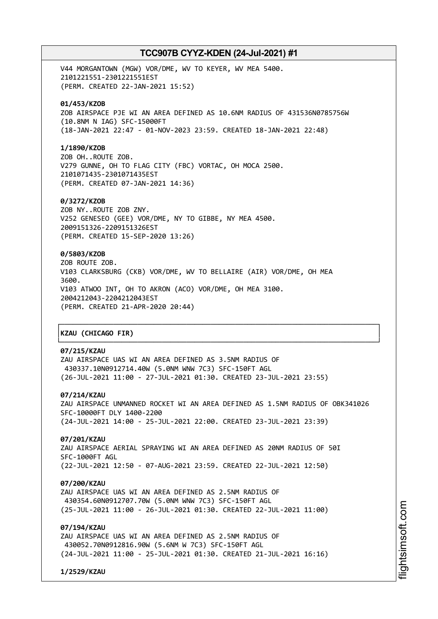V44 MORGANTOWN (MGW) VOR/DME, WV TO KEYER, WV MEA 5400. 2101221551-2301221551EST (PERM. CREATED 22-JAN-2021 15:52)

## **01/453/KZOB**

ZOB AIRSPACE PJE WI AN AREA DEFINED AS 10.6NM RADIUS OF 431536N0785756W (10.8NM N IAG) SFC-15000FT (18-JAN-2021 22:47 - 01-NOV-2023 23:59. CREATED 18-JAN-2021 22:48)

#### **1/1890/KZOB**

ZOB OH..ROUTE ZOB. V279 GUNNE, OH TO FLAG CITY (FBC) VORTAC, OH MOCA 2500. 2101071435-2301071435EST (PERM. CREATED 07-JAN-2021 14:36)

### **0/3272/KZOB**

ZOB NY..ROUTE ZOB ZNY. V252 GENESEO (GEE) VOR/DME, NY TO GIBBE, NY MEA 4500. 2009151326-2209151326EST (PERM. CREATED 15-SEP-2020 13:26)

## **0/5803/KZOB**

ZOB ROUTE ZOB. V103 CLARKSBURG (CKB) VOR/DME, WV TO BELLAIRE (AIR) VOR/DME, OH MEA 3600. V103 ATWOO INT, OH TO AKRON (ACO) VOR/DME, OH MEA 3100. 2004212043-2204212043EST (PERM. CREATED 21-APR-2020 20:44)

## │**KZAU (CHICAGO FIR)** │

## **07/215/KZAU**

ZAU AIRSPACE UAS WI AN AREA DEFINED AS 3.5NM RADIUS OF 430337.10N0912714.40W (5.0NM WNW 7C3) SFC-150FT AGL (26-JUL-2021 11:00 - 27-JUL-2021 01:30. CREATED 23-JUL-2021 23:55)

## **07/214/KZAU**

ZAU AIRSPACE UNMANNED ROCKET WI AN AREA DEFINED AS 1.5NM RADIUS OF OBK341026 SFC-10000FT DLY 1400-2200 (24-JUL-2021 14:00 - 25-JUL-2021 22:00. CREATED 23-JUL-2021 23:39)

┌──────────────────────────────────────────────────────────────────────────────┐

└──────────────────────────────────────────────────────────────────────────────┘

### **07/201/KZAU**

ZAU AIRSPACE AERIAL SPRAYING WI AN AREA DEFINED AS 20NM RADIUS OF 50I SFC-1000FT AGL (22-JUL-2021 12:50 - 07-AUG-2021 23:59. CREATED 22-JUL-2021 12:50)

#### **07/200/KZAU**

ZAU AIRSPACE UAS WI AN AREA DEFINED AS 2.5NM RADIUS OF 430354.60N0912707.70W (5.0NM WNW 7C3) SFC-150FT AGL (25-JUL-2021 11:00 - 26-JUL-2021 01:30. CREATED 22-JUL-2021 11:00)

## **07/194/KZAU**

ZAU AIRSPACE UAS WI AN AREA DEFINED AS 2.5NM RADIUS OF 430052.70N0912816.90W (5.6NM W 7C3) SFC-150FT AGL (24-JUL-2021 11:00 - 25-JUL-2021 01:30. CREATED 21-JUL-2021 16:16)

**1/2529/KZAU**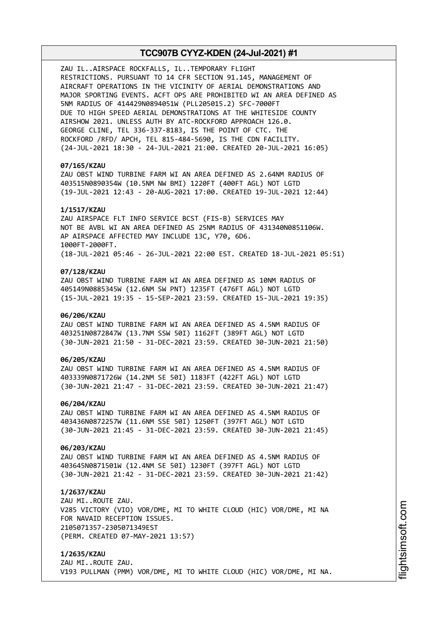ZAU IL..AIRSPACE ROCKFALLS, IL..TEMPORARY FLIGHT RESTRICTIONS. PURSUANT TO 14 CFR SECTION 91.145, MANAGEMENT OF AIRCRAFT OPERATIONS IN THE VICINITY OF AERIAL DEMONSTRATIONS AND MAJOR SPORTING EVENTS. ACFT OPS ARE PROHIBITED WI AN AREA DEFINED AS 5NM RADIUS OF 414429N0894051W (PLL205015.2) SFC-7000FT DUE TO HIGH SPEED AERIAL DEMONSTRATIONS AT THE WHITESIDE COUNTY AIRSHOW 2021. UNLESS AUTH BY ATC-ROCKFORD APPROACH 126.0. GEORGE CLINE, TEL 336-337-8183, IS THE POINT OF CTC. THE ROCKFORD /RFD/ APCH, TEL 815-484-5690, IS THE CDN FACILITY. (24-JUL-2021 18:30 - 24-JUL-2021 21:00. CREATED 20-JUL-2021 16:05)

### **07/165/KZAU**

ZAU OBST WIND TURBINE FARM WI AN AREA DEFINED AS 2.64NM RADIUS OF 403515N0890354W (10.5NM NW BMI) 1220FT (400FT AGL) NOT LGTD (19-JUL-2021 12:43 - 20-AUG-2021 17:00. CREATED 19-JUL-2021 12:44)

#### **1/1517/KZAU**

ZAU AIRSPACE FLT INFO SERVICE BCST (FIS-B) SERVICES MAY NOT BE AVBL WI AN AREA DEFINED AS 25NM RADIUS OF 431340N0851106W. AP AIRSPACE AFFECTED MAY INCLUDE 13C, Y70, 6D6. 1000FT-2000FT. (18-JUL-2021 05:46 - 26-JUL-2021 22:00 EST. CREATED 18-JUL-2021 05:51)

#### **07/128/KZAU**

ZAU OBST WIND TURBINE FARM WI AN AREA DEFINED AS 10NM RADIUS OF 405149N0885345W (12.6NM SW PNT) 1235FT (476FT AGL) NOT LGTD (15-JUL-2021 19:35 - 15-SEP-2021 23:59. CREATED 15-JUL-2021 19:35)

### **06/206/KZAU**

ZAU OBST WIND TURBINE FARM WI AN AREA DEFINED AS 4.5NM RADIUS OF 403251N0872847W (13.7NM SSW 50I) 1162FT (389FT AGL) NOT LGTD (30-JUN-2021 21:50 - 31-DEC-2021 23:59. CREATED 30-JUN-2021 21:50)

### **06/205/KZAU**

ZAU OBST WIND TURBINE FARM WI AN AREA DEFINED AS 4.5NM RADIUS OF 403339N0871726W (14.2NM SE 50I) 1183FT (422FT AGL) NOT LGTD (30-JUN-2021 21:47 - 31-DEC-2021 23:59. CREATED 30-JUN-2021 21:47)

#### **06/204/KZAU**

ZAU OBST WIND TURBINE FARM WI AN AREA DEFINED AS 4.5NM RADIUS OF 403436N0872257W (11.6NM SSE 50I) 1250FT (397FT AGL) NOT LGTD (30-JUN-2021 21:45 - 31-DEC-2021 23:59. CREATED 30-JUN-2021 21:45)

#### **06/203/KZAU**

ZAU OBST WIND TURBINE FARM WI AN AREA DEFINED AS 4.5NM RADIUS OF 403645N0871501W (12.4NM SE 50I) 1230FT (397FT AGL) NOT LGTD (30-JUN-2021 21:42 - 31-DEC-2021 23:59. CREATED 30-JUN-2021 21:42)

#### **1/2637/KZAU**

ZAU MI..ROUTE ZAU. V285 VICTORY (VIO) VOR/DME, MI TO WHITE CLOUD (HIC) VOR/DME, MI NA FOR NAVAID RECEPTION ISSUES. 2105071357-2305071349EST (PERM. CREATED 07-MAY-2021 13:57)

**1/2635/KZAU** ZAU MI..ROUTE ZAU. V193 PULLMAN (PMM) VOR/DME, MI TO WHITE CLOUD (HIC) VOR/DME, MI NA.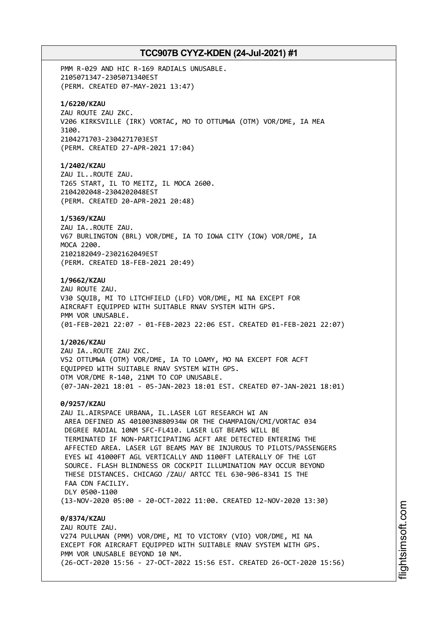PMM R-029 AND HIC R-169 RADIALS UNUSABLE. 2105071347-2305071340EST (PERM. CREATED 07-MAY-2021 13:47) **1/6220/KZAU** ZAU ROUTE ZAU ZKC. V206 KIRKSVILLE (IRK) VORTAC, MO TO OTTUMWA (OTM) VOR/DME, IA MEA 3100. 2104271703-2304271703EST (PERM. CREATED 27-APR-2021 17:04) **1/2402/KZAU** ZAU IL..ROUTE ZAU. T265 START, IL TO MEITZ, IL MOCA 2600. 2104202048-2304202048EST (PERM. CREATED 20-APR-2021 20:48) **1/5369/KZAU** ZAU IA..ROUTE ZAU. V67 BURLINGTON (BRL) VOR/DME, IA TO IOWA CITY (IOW) VOR/DME, IA MOCA 2200. 2102182049-2302162049EST (PERM. CREATED 18-FEB-2021 20:49) **1/9662/KZAU** ZAU ROUTE ZAU. V30 SQUIB, MI TO LITCHFIELD (LFD) VOR/DME, MI NA EXCEPT FOR AIRCRAFT EQUIPPED WITH SUITABLE RNAV SYSTEM WITH GPS. PMM VOR UNUSABLE. (01-FEB-2021 22:07 - 01-FEB-2023 22:06 EST. CREATED 01-FEB-2021 22:07) **1/2026/KZAU** ZAU IA..ROUTE ZAU ZKC. V52 OTTUMWA (OTM) VOR/DME, IA TO LOAMY, MO NA EXCEPT FOR ACFT EQUIPPED WITH SUITABLE RNAV SYSTEM WITH GPS. OTM VOR/DME R-140, 21NM TO COP UNUSABLE. (07-JAN-2021 18:01 - 05-JAN-2023 18:01 EST. CREATED 07-JAN-2021 18:01) **0/9257/KZAU** ZAU IL.AIRSPACE URBANA, IL.LASER LGT RESEARCH WI AN AREA DEFINED AS 401003N880934W OR THE CHAMPAIGN/CMI/VORTAC 034 DEGREE RADIAL 10NM SFC-FL410. LASER LGT BEAMS WILL BE TERMINATED IF NON-PARTICIPATING ACFT ARE DETECTED ENTERING THE AFFECTED AREA. LASER LGT BEAMS MAY BE INJUROUS TO PILOTS/PASSENGERS EYES WI 41000FT AGL VERTICALLY AND 1100FT LATERALLY OF THE LGT SOURCE. FLASH BLINDNESS OR COCKPIT ILLUMINATION MAY OCCUR BEYOND THESE DISTANCES. CHICAGO /ZAU/ ARTCC TEL 630-906-8341 IS THE FAA CDN FACTLTY. DLY 0500-1100 (13-NOV-2020 05:00 - 20-OCT-2022 11:00. CREATED 12-NOV-2020 13:30) **0/8374/KZAU** ZAU ROUTE ZAU. V274 PULLMAN (PMM) VOR/DME, MI TO VICTORY (VIO) VOR/DME, MI NA EXCEPT FOR AIRCRAFT EQUIPPED WITH SUITABLE RNAV SYSTEM WITH GPS. PMM VOR UNUSABLE BEYOND 10 NM.

(26-OCT-2020 15:56 - 27-OCT-2022 15:56 EST. CREATED 26-OCT-2020 15:56)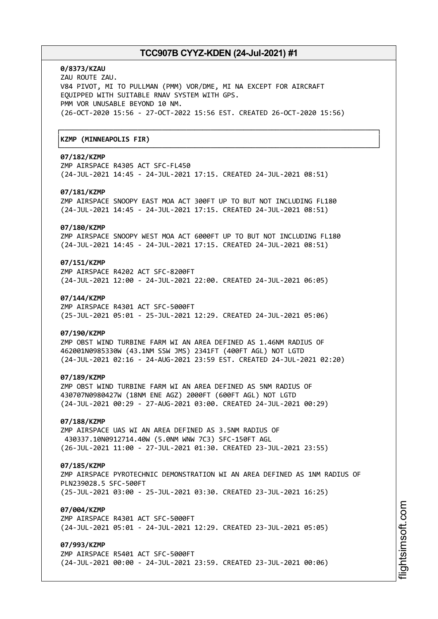┌──────────────────────────────────────────────────────────────────────────────┐

└──────────────────────────────────────────────────────────────────────────────┘

## **0/8373/KZAU**

ZAU ROUTE ZAU. V84 PIVOT, MI TO PULLMAN (PMM) VOR/DME, MI NA EXCEPT FOR AIRCRAFT EQUIPPED WITH SUITABLE RNAV SYSTEM WITH GPS. PMM VOR UNUSABLE BEYOND 10 NM. (26-OCT-2020 15:56 - 27-OCT-2022 15:56 EST. CREATED 26-OCT-2020 15:56)

## │**KZMP (MINNEAPOLIS FIR)** │

## **07/182/KZMP**

ZMP AIRSPACE R4305 ACT SFC-FL450 (24-JUL-2021 14:45 - 24-JUL-2021 17:15. CREATED 24-JUL-2021 08:51)

### **07/181/KZMP**

ZMP AIRSPACE SNOOPY EAST MOA ACT 300FT UP TO BUT NOT INCLUDING FL180 (24-JUL-2021 14:45 - 24-JUL-2021 17:15. CREATED 24-JUL-2021 08:51)

#### **07/180/KZMP**

ZMP AIRSPACE SNOOPY WEST MOA ACT 6000FT UP TO BUT NOT INCLUDING FL180 (24-JUL-2021 14:45 - 24-JUL-2021 17:15. CREATED 24-JUL-2021 08:51)

## **07/151/KZMP**

ZMP AIRSPACE R4202 ACT SFC-8200FT (24-JUL-2021 12:00 - 24-JUL-2021 22:00. CREATED 24-JUL-2021 06:05)

### **07/144/KZMP**

ZMP AIRSPACE R4301 ACT SFC-5000FT (25-JUL-2021 05:01 - 25-JUL-2021 12:29. CREATED 24-JUL-2021 05:06)

#### **07/190/KZMP**

ZMP OBST WIND TURBINE FARM WI AN AREA DEFINED AS 1.46NM RADIUS OF 462001N0985330W (43.1NM SSW JMS) 2341FT (400FT AGL) NOT LGTD (24-JUL-2021 02:16 - 24-AUG-2021 23:59 EST. CREATED 24-JUL-2021 02:20)

#### **07/189/KZMP**

ZMP OBST WIND TURBINE FARM WI AN AREA DEFINED AS 5NM RADIUS OF 430707N0980427W (18NM ENE AGZ) 2000FT (600FT AGL) NOT LGTD (24-JUL-2021 00:29 - 27-AUG-2021 03:00. CREATED 24-JUL-2021 00:29)

## **07/188/KZMP**

ZMP AIRSPACE UAS WI AN AREA DEFINED AS 3.5NM RADIUS OF 430337.10N0912714.40W (5.0NM WNW 7C3) SFC-150FT AGL (26-JUL-2021 11:00 - 27-JUL-2021 01:30. CREATED 23-JUL-2021 23:55)

#### **07/185/KZMP**

ZMP AIRSPACE PYROTECHNIC DEMONSTRATION WI AN AREA DEFINED AS 1NM RADIUS OF PLN239028.5 SFC-500FT (25-JUL-2021 03:00 - 25-JUL-2021 03:30. CREATED 23-JUL-2021 16:25)

## **07/004/KZMP**

ZMP AIRSPACE R4301 ACT SFC-5000FT (24-JUL-2021 05:01 - 24-JUL-2021 12:29. CREATED 23-JUL-2021 05:05)

## **07/993/KZMP**

ZMP AIRSPACE R5401 ACT SFC-5000FT (24-JUL-2021 00:00 - 24-JUL-2021 23:59. CREATED 23-JUL-2021 00:06)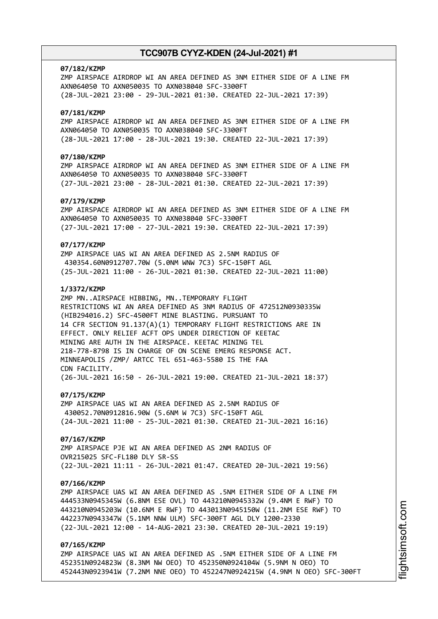#### **07/182/KZMP**

ZMP AIRSPACE AIRDROP WI AN AREA DEFINED AS 3NM EITHER SIDE OF A LINE FM AXN064050 TO AXN050035 TO AXN038040 SFC-3300FT (28-JUL-2021 23:00 - 29-JUL-2021 01:30. CREATED 22-JUL-2021 17:39)

### **07/181/KZMP**

ZMP AIRSPACE AIRDROP WI AN AREA DEFINED AS 3NM EITHER SIDE OF A LINE FM AXN064050 TO AXN050035 TO AXN038040 SFC-3300FT (28-JUL-2021 17:00 - 28-JUL-2021 19:30. CREATED 22-JUL-2021 17:39)

## **07/180/KZMP**

ZMP AIRSPACE AIRDROP WI AN AREA DEFINED AS 3NM EITHER SIDE OF A LINE FM AXN064050 TO AXN050035 TO AXN038040 SFC-3300FT (27-JUL-2021 23:00 - 28-JUL-2021 01:30. CREATED 22-JUL-2021 17:39)

### **07/179/KZMP**

ZMP AIRSPACE AIRDROP WI AN AREA DEFINED AS 3NM EITHER SIDE OF A LINE FM AXN064050 TO AXN050035 TO AXN038040 SFC-3300FT (27-JUL-2021 17:00 - 27-JUL-2021 19:30. CREATED 22-JUL-2021 17:39)

### **07/177/KZMP**

ZMP AIRSPACE UAS WI AN AREA DEFINED AS 2.5NM RADIUS OF 430354.60N0912707.70W (5.0NM WNW 7C3) SFC-150FT AGL (25-JUL-2021 11:00 - 26-JUL-2021 01:30. CREATED 22-JUL-2021 11:00)

### **1/3372/KZMP**

ZMP MN..AIRSPACE HIBBING, MN..TEMPORARY FLIGHT RESTRICTIONS WI AN AREA DEFINED AS 3NM RADIUS OF 472512N0930335W (HIB294016.2) SFC-4500FT MINE BLASTING. PURSUANT TO 14 CFR SECTION 91.137(A)(1) TEMPORARY FLIGHT RESTRICTIONS ARE IN EFFECT. ONLY RELIEF ACFT OPS UNDER DIRECTION OF KEETAC MINING ARE AUTH IN THE AIRSPACE. KEETAC MINING TEL 218-778-8798 IS IN CHARGE OF ON SCENE EMERG RESPONSE ACT. MINNEAPOLIS /ZMP/ ARTCC TEL 651-463-5580 IS THE FAA CDN FACILITY. (26-JUL-2021 16:50 - 26-JUL-2021 19:00. CREATED 21-JUL-2021 18:37)

### **07/175/KZMP**

ZMP AIRSPACE UAS WI AN AREA DEFINED AS 2.5NM RADIUS OF 430052.70N0912816.90W (5.6NM W 7C3) SFC-150FT AGL (24-JUL-2021 11:00 - 25-JUL-2021 01:30. CREATED 21-JUL-2021 16:16)

#### **07/167/KZMP**

ZMP AIRSPACE PJE WI AN AREA DEFINED AS 2NM RADIUS OF OVR215025 SFC-FL180 DLY SR-SS (22-JUL-2021 11:11 - 26-JUL-2021 01:47. CREATED 20-JUL-2021 19:56)

#### **07/166/KZMP**

ZMP AIRSPACE UAS WI AN AREA DEFINED AS .5NM EITHER SIDE OF A LINE FM 444533N0945345W (6.8NM ESE OVL) TO 443210N0945332W (9.4NM E RWF) TO 443210N0945203W (10.6NM E RWF) TO 443013N0945150W (11.2NM ESE RWF) TO 442237N0943347W (5.1NM NNW ULM) SFC-300FT AGL DLY 1200-2330 (22-JUL-2021 12:00 - 14-AUG-2021 23:30. CREATED 20-JUL-2021 19:19)

## **07/165/KZMP**

ZMP AIRSPACE UAS WI AN AREA DEFINED AS .5NM EITHER SIDE OF A LINE FM 452351N0924823W (8.3NM NW OEO) TO 452350N0924104W (5.9NM N OEO) TO 452443N0923941W (7.2NM NNE OEO) TO 452247N0924215W (4.9NM N OEO) SFC-300FT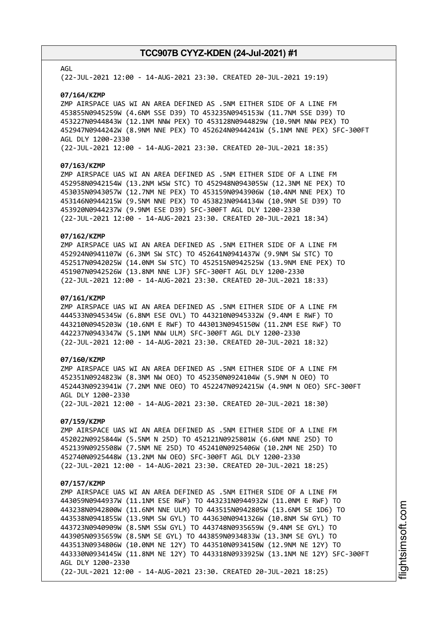### AGL

(22-JUL-2021 12:00 - 14-AUG-2021 23:30. CREATED 20-JUL-2021 19:19)

#### **07/164/KZMP**

ZMP AIRSPACE UAS WI AN AREA DEFINED AS .5NM EITHER SIDE OF A LINE FM 453855N0945259W (4.6NM SSE D39) TO 453235N0945153W (11.7NM SSE D39) TO 453227N0944843W (12.1NM NNW PEX) TO 453128N0944829W (10.9NM NNW PEX) TO 452947N0944242W (8.9NM NNE PEX) TO 452624N0944241W (5.1NM NNE PEX) SFC-300FT AGL DLY 1200-2330

(22-JUL-2021 12:00 - 14-AUG-2021 23:30. CREATED 20-JUL-2021 18:35)

#### **07/163/KZMP**

ZMP AIRSPACE UAS WI AN AREA DEFINED AS .5NM EITHER SIDE OF A LINE FM 452958N0942154W (13.2NM WSW STC) TO 452948N0943055W (12.3NM NE PEX) TO 453035N0943057W (12.7NM NE PEX) TO 453159N0943906W (10.4NM NNE PEX) TO 453146N0944215W (9.5NM NNE PEX) TO 453823N0944134W (10.9NM SE D39) TO 453920N0944237W (9.9NM ESE D39) SFC-300FT AGL DLY 1200-2330 (22-JUL-2021 12:00 - 14-AUG-2021 23:30. CREATED 20-JUL-2021 18:34)

### **07/162/KZMP**

ZMP AIRSPACE UAS WI AN AREA DEFINED AS .5NM EITHER SIDE OF A LINE FM 452924N0941107W (6.3NM SW STC) TO 452641N0941437W (9.9NM SW STC) TO 452517N0942025W (14.0NM SW STC) TO 452515N0942525W (13.9NM ENE PEX) TO 451907N0942526W (13.8NM NNE LJF) SFC-300FT AGL DLY 1200-2330 (22-JUL-2021 12:00 - 14-AUG-2021 23:30. CREATED 20-JUL-2021 18:33)

#### **07/161/KZMP**

ZMP AIRSPACE UAS WI AN AREA DEFINED AS .5NM EITHER SIDE OF A LINE FM 444533N0945345W (6.8NM ESE OVL) TO 443210N0945332W (9.4NM E RWF) TO 443210N0945203W (10.6NM E RWF) TO 443013N0945150W (11.2NM ESE RWF) TO 442237N0943347W (5.1NM NNW ULM) SFC-300FT AGL DLY 1200-2330 (22-JUL-2021 12:00 - 14-AUG-2021 23:30. CREATED 20-JUL-2021 18:32)

### **07/160/KZMP**

ZMP AIRSPACE UAS WI AN AREA DEFINED AS .5NM EITHER SIDE OF A LINE FM 452351N0924823W (8.3NM NW OEO) TO 452350N0924104W (5.9NM N OEO) TO 452443N0923941W (7.2NM NNE OEO) TO 452247N0924215W (4.9NM N OEO) SFC-300FT AGL DLY 1200-2330 (22-JUL-2021 12:00 - 14-AUG-2021 23:30. CREATED 20-JUL-2021 18:30)

## **07/159/KZMP**

ZMP AIRSPACE UAS WI AN AREA DEFINED AS .5NM EITHER SIDE OF A LINE FM 452022N0925844W (5.5NM N 25D) TO 452121N0925801W (6.6NM NNE 25D) TO 452139N0925508W (7.5NM NE 25D) TO 452410N0925406W (10.2NM NE 25D) TO 452740N0925448W (13.2NM NW OEO) SFC-300FT AGL DLY 1200-2330 (22-JUL-2021 12:00 - 14-AUG-2021 23:30. CREATED 20-JUL-2021 18:25)

#### **07/157/KZMP**

ZMP AIRSPACE UAS WI AN AREA DEFINED AS .5NM EITHER SIDE OF A LINE FM 443059N0944937W (11.1NM ESE RWF) TO 443231N0944932W (11.0NM E RWF) TO 443238N0942800W (11.6NM NNE ULM) TO 443515N0942805W (13.6NM SE 1D6) TO 443538N0941855W (13.9NM SW GYL) TO 443630N0941326W (10.8NM SW GYL) TO 443723N0940909W (8.5NM SSW GYL) TO 443748N0935659W (9.4NM SE GYL) TO 443905N0935659W (8.5NM SE GYL) TO 443859N0934833W (13.3NM SE GYL) TO 443513N0934806W (10.0NM NE 12Y) TO 443510N0934150W (12.9NM NE 12Y) TO 443330N0934145W (11.8NM NE 12Y) TO 443318N0933925W (13.1NM NE 12Y) SFC-300FT AGL DLY 1200-2330 (22-JUL-2021 12:00 - 14-AUG-2021 23:30. CREATED 20-JUL-2021 18:25)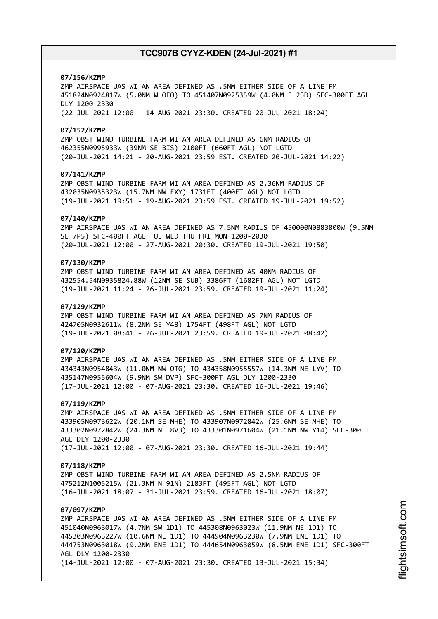#### **07/156/KZMP**

ZMP AIRSPACE UAS WI AN AREA DEFINED AS .5NM EITHER SIDE OF A LINE FM 451824N0924817W (5.0NM W OEO) TO 451407N0925359W (4.0NM E 25D) SFC-300FT AGL DLY 1200-2330 (22-JUL-2021 12:00 - 14-AUG-2021 23:30. CREATED 20-JUL-2021 18:24)

#### **07/152/KZMP**

ZMP OBST WIND TURBINE FARM WI AN AREA DEFINED AS 6NM RADIUS OF 462355N0995933W (39NM SE BIS) 2100FT (660FT AGL) NOT LGTD (20-JUL-2021 14:21 - 20-AUG-2021 23:59 EST. CREATED 20-JUL-2021 14:22)

### **07/141/KZMP**

ZMP OBST WIND TURBINE FARM WI AN AREA DEFINED AS 2.36NM RADIUS OF 432035N0935323W (15.7NM NW FXY) 1731FT (400FT AGL) NOT LGTD (19-JUL-2021 19:51 - 19-AUG-2021 23:59 EST. CREATED 19-JUL-2021 19:52)

#### **07/140/KZMP**

ZMP AIRSPACE UAS WI AN AREA DEFINED AS 7.5NM RADIUS OF 450000N0883800W (9.5NM SE 7P5) SFC-400FT AGL TUE WED THU FRI MON 1200-2030 (20-JUL-2021 12:00 - 27-AUG-2021 20:30. CREATED 19-JUL-2021 19:50)

## **07/130/KZMP**

ZMP OBST WIND TURBINE FARM WI AN AREA DEFINED AS 40NM RADIUS OF 432554.54N0935824.88W (12NM SE SUB) 3386FT (1682FT AGL) NOT LGTD (19-JUL-2021 11:24 - 26-JUL-2021 23:59. CREATED 19-JUL-2021 11:24)

#### **07/129/KZMP**

ZMP OBST WIND TURBINE FARM WI AN AREA DEFINED AS 7NM RADIUS OF 424705N0932611W (8.2NM SE Y48) 1754FT (498FT AGL) NOT LGTD (19-JUL-2021 08:41 - 26-JUL-2021 23:59. CREATED 19-JUL-2021 08:42)

### **07/120/KZMP**

ZMP AIRSPACE UAS WI AN AREA DEFINED AS .5NM EITHER SIDE OF A LINE FM 434343N0954843W (11.0NM NW OTG) TO 434358N0955557W (14.3NM NE LYV) TO 435147N0955604W (9.9NM SW DVP) SFC-300FT AGL DLY 1200-2330 (17-JUL-2021 12:00 - 07-AUG-2021 23:30. CREATED 16-JUL-2021 19:46)

#### **07/119/KZMP**

ZMP AIRSPACE UAS WI AN AREA DEFINED AS .5NM EITHER SIDE OF A LINE FM 433905N0973622W (20.1NM SE MHE) TO 433907N0972842W (25.6NM SE MHE) TO 433302N0972842W (24.3NM NE 8V3) TO 433301N0971604W (21.1NM NW Y14) SFC-300FT AGL DLY 1200-2330 (17-JUL-2021 12:00 - 07-AUG-2021 23:30. CREATED 16-JUL-2021 19:44)

#### **07/118/KZMP**

ZMP OBST WIND TURBINE FARM WI AN AREA DEFINED AS 2.5NM RADIUS OF 475212N1005215W (21.3NM N 91N) 2183FT (495FT AGL) NOT LGTD (16-JUL-2021 18:07 - 31-JUL-2021 23:59. CREATED 16-JUL-2021 18:07)

## **07/097/KZMP**

ZMP AIRSPACE UAS WI AN AREA DEFINED AS .5NM EITHER SIDE OF A LINE FM 451040N0963017W (4.7NM SW 1D1) TO 445308N0963023W (11.9NM NE 1D1) TO 445303N0963227W (10.6NM NE 1D1) TO 444904N0963230W (7.9NM ENE 1D1) TO 444753N0963018W (9.2NM ENE 1D1) TO 444654N0963059W (8.5NM ENE 1D1) SFC-300FT AGL DLY 1200-2330 (14-JUL-2021 12:00 - 07-AUG-2021 23:30. CREATED 13-JUL-2021 15:34)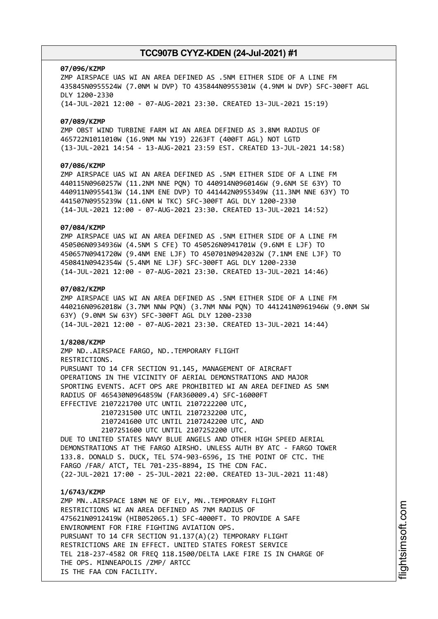#### **07/096/KZMP**

ZMP AIRSPACE UAS WI AN AREA DEFINED AS .5NM EITHER SIDE OF A LINE FM 435845N0955524W (7.0NM W DVP) TO 435844N0955301W (4.9NM W DVP) SFC-300FT AGL DLY 1200-2330 (14-JUL-2021 12:00 - 07-AUG-2021 23:30. CREATED 13-JUL-2021 15:19)

#### **07/089/KZMP**

ZMP OBST WIND TURBINE FARM WI AN AREA DEFINED AS 3.8NM RADIUS OF 465722N1011010W (16.9NM NW Y19) 2263FT (400FT AGL) NOT LGTD (13-JUL-2021 14:54 - 13-AUG-2021 23:59 EST. CREATED 13-JUL-2021 14:58)

## **07/086/KZMP**

ZMP AIRSPACE UAS WI AN AREA DEFINED AS .5NM EITHER SIDE OF A LINE FM 440115N0960257W (11.2NM NNE PQN) TO 440914N0960146W (9.6NM SE 63Y) TO 440911N0955413W (14.1NM ENE DVP) TO 441442N0955349W (11.3NM NNE 63Y) TO 441507N0955239W (11.6NM W TKC) SFC-300FT AGL DLY 1200-2330 (14-JUL-2021 12:00 - 07-AUG-2021 23:30. CREATED 13-JUL-2021 14:52)

#### **07/084/KZMP**

ZMP AIRSPACE UAS WI AN AREA DEFINED AS .5NM EITHER SIDE OF A LINE FM 450506N0934936W (4.5NM S CFE) TO 450526N0941701W (9.6NM E LJF) TO 450657N0941720W (9.4NM ENE LJF) TO 450701N0942032W (7.1NM ENE LJF) TO 450841N0942354W (5.4NM NE LJF) SFC-300FT AGL DLY 1200-2330 (14-JUL-2021 12:00 - 07-AUG-2021 23:30. CREATED 13-JUL-2021 14:46)

## **07/082/KZMP**

ZMP AIRSPACE UAS WI AN AREA DEFINED AS .5NM EITHER SIDE OF A LINE FM 440216N0962018W (3.7NM NNW PQN) (3.7NM NNW PQN) TO 441241N0961946W (9.0NM SW 63Y) (9.0NM SW 63Y) SFC-300FT AGL DLY 1200-2330 (14-JUL-2021 12:00 - 07-AUG-2021 23:30. CREATED 13-JUL-2021 14:44)

#### **1/8208/KZMP**

ZMP ND..AIRSPACE FARGO, ND..TEMPORARY FLIGHT RESTRICTIONS. PURSUANT TO 14 CFR SECTION 91.145, MANAGEMENT OF AIRCRAFT OPERATIONS IN THE VICINITY OF AERIAL DEMONSTRATIONS AND MAJOR SPORTING EVENTS. ACFT OPS ARE PROHIBITED WI AN AREA DEFINED AS 5NM RADIUS OF 465430N0964859W (FAR360009.4) SFC-16000FT EFFECTIVE 2107221700 UTC UNTIL 2107222200 UTC,

> 2107231500 UTC UNTIL 2107232200 UTC, 2107241600 UTC UNTIL 2107242200 UTC, AND 2107251600 UTC UNTIL 2107252200 UTC.

DUE TO UNITED STATES NAVY BLUE ANGELS AND OTHER HIGH SPEED AERIAL DEMONSTRATIONS AT THE FARGO AIRSHO. UNLESS AUTH BY ATC - FARGO TOWER 133.8. DONALD S. DUCK, TEL 574-903-6596, IS THE POINT OF CTC. THE FARGO /FAR/ ATCT, TEL 701-235-8894, IS THE CDN FAC. (22-JUL-2021 17:00 - 25-JUL-2021 22:00. CREATED 13-JUL-2021 11:48)

#### **1/6743/KZMP**

ZMP MN..AIRSPACE 18NM NE OF ELY, MN..TEMPORARY FLIGHT RESTRICTIONS WI AN AREA DEFINED AS 7NM RADIUS OF 475621N0912419W (HIB052065.1) SFC-4000FT. TO PROVIDE A SAFE ENVIRONMENT FOR FIRE FIGHTING AVIATION OPS. PURSUANT TO 14 CFR SECTION 91.137(A)(2) TEMPORARY FLIGHT RESTRICTIONS ARE IN EFFECT. UNITED STATES FOREST SERVICE TEL 218-237-4582 OR FREQ 118.1500/DELTA LAKE FIRE IS IN CHARGE OF THE OPS. MINNEAPOLIS /ZMP/ ARTCC IS THE FAA CDN FACILITY.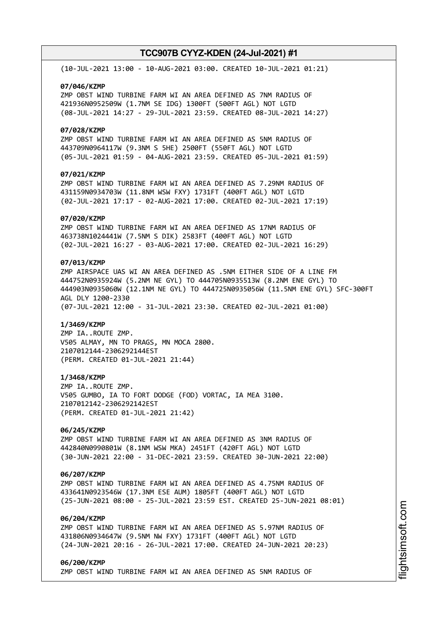(10-JUL-2021 13:00 - 10-AUG-2021 03:00. CREATED 10-JUL-2021 01:21)

#### **07/046/KZMP**

ZMP OBST WIND TURBINE FARM WI AN AREA DEFINED AS 7NM RADIUS OF 421936N0952509W (1.7NM SE IDG) 1300FT (500FT AGL) NOT LGTD (08-JUL-2021 14:27 - 29-JUL-2021 23:59. CREATED 08-JUL-2021 14:27)

#### **07/028/KZMP**

ZMP OBST WIND TURBINE FARM WI AN AREA DEFINED AS 5NM RADIUS OF 443709N0964117W (9.3NM S 5HE) 2500FT (550FT AGL) NOT LGTD (05-JUL-2021 01:59 - 04-AUG-2021 23:59. CREATED 05-JUL-2021 01:59)

## **07/021/KZMP**

ZMP OBST WIND TURBINE FARM WI AN AREA DEFINED AS 7.29NM RADIUS OF 431159N0934703W (11.8NM WSW FXY) 1731FT (400FT AGL) NOT LGTD (02-JUL-2021 17:17 - 02-AUG-2021 17:00. CREATED 02-JUL-2021 17:19)

#### **07/020/KZMP**

ZMP OBST WIND TURBINE FARM WI AN AREA DEFINED AS 17NM RADIUS OF 463738N1024441W (7.5NM S DIK) 2583FT (400FT AGL) NOT LGTD (02-JUL-2021 16:27 - 03-AUG-2021 17:00. CREATED 02-JUL-2021 16:29)

## **07/013/KZMP**

ZMP AIRSPACE UAS WI AN AREA DEFINED AS .5NM EITHER SIDE OF A LINE FM 444752N0935924W (5.2NM NE GYL) TO 444705N0935513W (8.2NM ENE GYL) TO 444903N0935060W (12.1NM NE GYL) TO 444725N0935056W (11.5NM ENE GYL) SFC-300FT AGL DLY 1200-2330 (07-JUL-2021 12:00 - 31-JUL-2021 23:30. CREATED 02-JUL-2021 01:00)

#### **1/3469/KZMP**

ZMP IA..ROUTE ZMP. V505 ALMAY, MN TO PRAGS, MN MOCA 2800. 2107012144-2306292144EST (PERM. CREATED 01-JUL-2021 21:44)

#### **1/3468/KZMP**

ZMP IA..ROUTE ZMP. V505 GUMBO, IA TO FORT DODGE (FOD) VORTAC, IA MEA 3100. 2107012142-2306292142EST (PERM. CREATED 01-JUL-2021 21:42)

## **06/245/KZMP**

ZMP OBST WIND TURBINE FARM WI AN AREA DEFINED AS 3NM RADIUS OF 442840N0990801W (8.1NM WSW MKA) 2451FT (420FT AGL) NOT LGTD (30-JUN-2021 22:00 - 31-DEC-2021 23:59. CREATED 30-JUN-2021 22:00)

#### **06/207/KZMP**

ZMP OBST WIND TURBINE FARM WI AN AREA DEFINED AS 4.75NM RADIUS OF 433641N0923546W (17.3NM ESE AUM) 1805FT (400FT AGL) NOT LGTD (25-JUN-2021 08:00 - 25-JUL-2021 23:59 EST. CREATED 25-JUN-2021 08:01)

## **06/204/KZMP**

ZMP OBST WIND TURBINE FARM WI AN AREA DEFINED AS 5.97NM RADIUS OF 431806N0934647W (9.5NM NW FXY) 1731FT (400FT AGL) NOT LGTD (24-JUN-2021 20:16 - 26-JUL-2021 17:00. CREATED 24-JUN-2021 20:23)

### **06/200/KZMP** ZMP OBST WIND TURBINE FARM WI AN AREA DEFINED AS 5NM RADIUS OF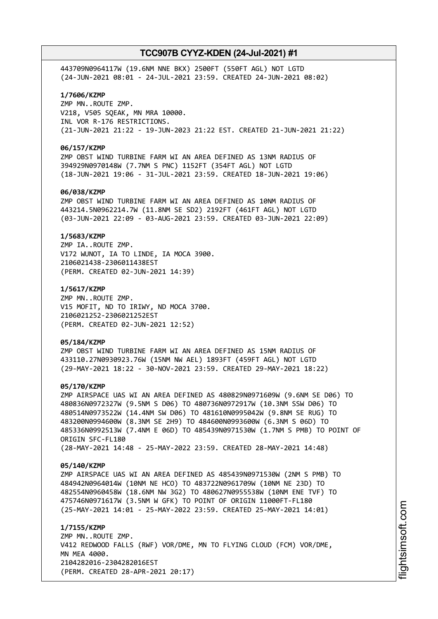443709N0964117W (19.6NM NNE BKX) 2500FT (550FT AGL) NOT LGTD (24-JUN-2021 08:01 - 24-JUL-2021 23:59. CREATED 24-JUN-2021 08:02)

### **1/7606/KZMP**

ZMP MN..ROUTE ZMP. V218, V505 SQEAK, MN MRA 10000. INL VOR R-176 RESTRICTIONS. (21-JUN-2021 21:22 - 19-JUN-2023 21:22 EST. CREATED 21-JUN-2021 21:22)

#### **06/157/KZMP**

ZMP OBST WIND TURBINE FARM WI AN AREA DEFINED AS 13NM RADIUS OF 394929N0970148W (7.7NM S PNC) 1152FT (354FT AGL) NOT LGTD (18-JUN-2021 19:06 - 31-JUL-2021 23:59. CREATED 18-JUN-2021 19:06)

### **06/038/KZMP**

ZMP OBST WIND TURBINE FARM WI AN AREA DEFINED AS 10NM RADIUS OF 443214.5N0962214.7W (11.8NM SE SD2) 2192FT (461FT AGL) NOT LGTD (03-JUN-2021 22:09 - 03-AUG-2021 23:59. CREATED 03-JUN-2021 22:09)

#### **1/5683/KZMP**

ZMP IA..ROUTE ZMP. V172 WUNOT, IA TO LINDE, IA MOCA 3900. 2106021438-2306011438EST (PERM. CREATED 02-JUN-2021 14:39)

#### **1/5617/KZMP**

ZMP MN..ROUTE ZMP. V15 MOFIT, ND TO IRIWY, ND MOCA 3700. 2106021252-2306021252EST (PERM. CREATED 02-JUN-2021 12:52)

#### **05/184/KZMP**

ZMP OBST WIND TURBINE FARM WI AN AREA DEFINED AS 15NM RADIUS OF 433110.27N0930923.76W (15NM NW AEL) 1893FT (459FT AGL) NOT LGTD (29-MAY-2021 18:22 - 30-NOV-2021 23:59. CREATED 29-MAY-2021 18:22)

#### **05/170/KZMP**

ZMP AIRSPACE UAS WI AN AREA DEFINED AS 480829N0971609W (9.6NM SE D06) TO 480836N0972327W (9.5NM S D06) TO 480736N0972917W (10.3NM SSW D06) TO 480514N0973522W (14.4NM SW D06) TO 481610N0995042W (9.8NM SE RUG) TO 483200N0994600W (8.3NM SE 2H9) TO 484600N0993600W (6.3NM S 06D) TO 485336N0992513W (7.4NM E 06D) TO 485439N0971530W (1.7NM S PMB) TO POINT OF ORIGIN SFC-FL180 (28-MAY-2021 14:48 - 25-MAY-2022 23:59. CREATED 28-MAY-2021 14:48)

#### **05/140/KZMP**

ZMP AIRSPACE UAS WI AN AREA DEFINED AS 485439N0971530W (2NM S PMB) TO 484942N0964014W (10NM NE HCO) TO 483722N0961709W (10NM NE 23D) TO 482554N0960458W (18.6NM NW 3G2) TO 480627N0955538W (10NM ENE TVF) TO 475746N0971617W (3.5NM W GFK) TO POINT OF ORIGIN 11000FT-FL180 (25-MAY-2021 14:01 - 25-MAY-2022 23:59. CREATED 25-MAY-2021 14:01)

**1/7155/KZMP** ZMP MN..ROUTE ZMP. V412 REDWOOD FALLS (RWF) VOR/DME, MN TO FLYING CLOUD (FCM) VOR/DME, MN MEA 4000. 2104282016-2304282016EST (PERM. CREATED 28-APR-2021 20:17)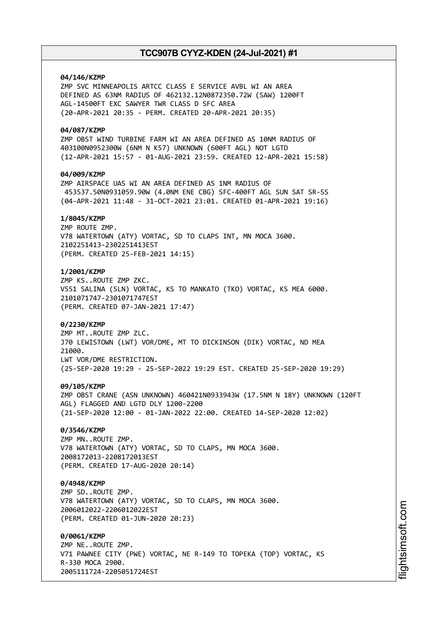## **04/146/KZMP**

ZMP SVC MINNEAPOLIS ARTCC CLASS E SERVICE AVBL WI AN AREA DEFINED AS 63NM RADIUS OF 462132.12N0872350.72W (SAW) 1200FT AGL-14500FT EXC SAWYER TWR CLASS D SFC AREA (20-APR-2021 20:35 - PERM. CREATED 20-APR-2021 20:35)

### **04/087/KZMP**

ZMP OBST WIND TURBINE FARM WI AN AREA DEFINED AS 10NM RADIUS OF 403100N0952300W (6NM N K57) UNKNOWN (600FT AGL) NOT LGTD (12-APR-2021 15:57 - 01-AUG-2021 23:59. CREATED 12-APR-2021 15:58)

## **04/009/KZMP**

ZMP AIRSPACE UAS WI AN AREA DEFINED AS 1NM RADIUS OF 453537.50N0931059.90W (4.0NM ENE CBG) SFC-400FT AGL SUN SAT SR-SS (04-APR-2021 11:48 - 31-OCT-2021 23:01. CREATED 01-APR-2021 19:16)

## **1/8045/KZMP**

ZMP ROUTE ZMP. V78 WATERTOWN (ATY) VORTAC, SD TO CLAPS INT, MN MOCA 3600. 2102251413-2302251413EST (PERM. CREATED 25-FEB-2021 14:15)

## **1/2001/KZMP**

ZMP KS..ROUTE ZMP ZKC. V551 SALINA (SLN) VORTAC, KS TO MANKATO (TKO) VORTAC, KS MEA 6000. 2101071747-2301071747EST (PERM. CREATED 07-JAN-2021 17:47)

### **0/2230/KZMP**

ZMP MT..ROUTE ZMP ZLC. J70 LEWISTOWN (LWT) VOR/DME, MT TO DICKINSON (DIK) VORTAC, ND MEA 21000. LWT VOR/DME RESTRICTION. (25-SEP-2020 19:29 - 25-SEP-2022 19:29 EST. CREATED 25-SEP-2020 19:29)

## **09/105/KZMP**

ZMP OBST CRANE (ASN UNKNOWN) 460421N0933943W (17.5NM N 18Y) UNKNOWN (120FT AGL) FLAGGED AND LGTD DLY 1200-2200 (21-SEP-2020 12:00 - 01-JAN-2022 22:00. CREATED 14-SEP-2020 12:02)

### **0/3546/KZMP**

ZMP MN..ROUTE ZMP. V78 WATERTOWN (ATY) VORTAC, SD TO CLAPS, MN MOCA 3600. 2008172013-2208172013EST (PERM. CREATED 17-AUG-2020 20:14)

### **0/4948/KZMP**

ZMP SD..ROUTE ZMP. V78 WATERTOWN (ATY) VORTAC, SD TO CLAPS, MN MOCA 3600. 2006012022-2206012022EST (PERM. CREATED 01-JUN-2020 20:23)

#### **0/0061/KZMP**

ZMP NE..ROUTE ZMP. V71 PAWNEE CITY (PWE) VORTAC, NE R-149 TO TOPEKA (TOP) VORTAC, KS R-330 MOCA 2900. 2005111724-2205051724EST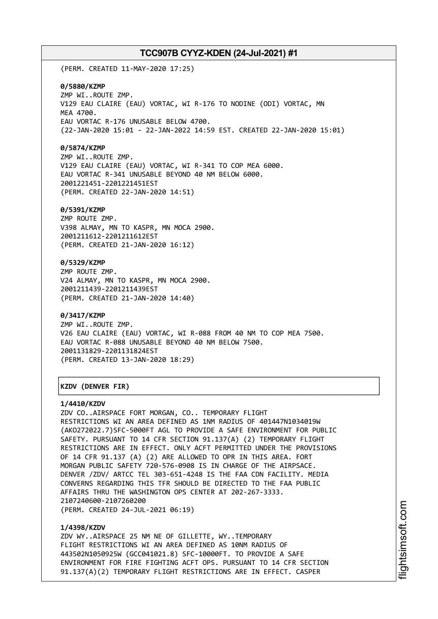(PERM. CREATED 11-MAY-2020 17:25)

#### **0/5880/KZMP**

ZMP WI..ROUTE ZMP. V129 EAU CLAIRE (EAU) VORTAC, WI R-176 TO NODINE (ODI) VORTAC, MN MEA 4700. EAU VORTAC R-176 UNUSABLE BELOW 4700. (22-JAN-2020 15:01 - 22-JAN-2022 14:59 EST. CREATED 22-JAN-2020 15:01)

#### **0/5874/KZMP**

ZMP WI..ROUTE ZMP. V129 EAU CLAIRE (EAU) VORTAC, WI R-341 TO COP MEA 6000. EAU VORTAC R-341 UNUSABLE BEYOND 40 NM BELOW 6000. 2001221451-2201221451EST (PERM. CREATED 22-JAN-2020 14:51)

#### **0/5391/KZMP**

ZMP ROUTE ZMP. V398 ALMAY, MN TO KASPR, MN MOCA 2900. 2001211612-2201211612EST (PERM. CREATED 21-JAN-2020 16:12)

## **0/5329/KZMP**

ZMP ROUTE ZMP. V24 ALMAY, MN TO KASPR, MN MOCA 2900. 2001211439-2201211439EST (PERM. CREATED 21-JAN-2020 14:40)

#### **0/3417/KZMP**

ZMP WI..ROUTE ZMP. V26 EAU CLAIRE (EAU) VORTAC, WI R-088 FROM 40 NM TO COP MEA 7500. EAU VORTAC R-088 UNUSABLE BEYOND 40 NM BELOW 7500. 2001131829-2201131824EST (PERM. CREATED 13-JAN-2020 18:29)

┌──────────────────────────────────────────────────────────────────────────────┐

└──────────────────────────────────────────────────────────────────────────────┘

## │**KZDV (DENVER FIR)** │

#### **1/4410/KZDV**

ZDV CO..AIRSPACE FORT MORGAN, CO.. TEMPORARY FLIGHT RESTRICTIONS WI AN AREA DEFINED AS 1NM RADIUS OF 401447N1034019W (AKO272022.7)SFC-5000FT AGL TO PROVIDE A SAFE ENVIRONMENT FOR PUBLIC SAFETY. PURSUANT TO 14 CFR SECTION 91.137(A) (2) TEMPORARY FLIGHT RESTRICTIONS ARE IN EFFECT. ONLY ACFT PERMITTED UNDER THE PROVISIONS OF 14 CFR 91.137 (A) (2) ARE ALLOWED TO OPR IN THIS AREA. FORT MORGAN PUBLIC SAFETY 720-576-0908 IS IN CHARGE OF THE AIRPSACE. DENVER /ZDV/ ARTCC TEL 303-651-4248 IS THE FAA CDN FACILITY. MEDIA CONVERNS REGARDING THIS TFR SHOULD BE DIRECTED TO THE FAA PUBLIC AFFAIRS THRU THE WASHINGTON OPS CENTER AT 202-267-3333. 2107240600-2107260200 (PERM. CREATED 24-JUL-2021 06:19)

#### **1/4398/KZDV**

ZDV WY..AIRSPACE 25 NM NE OF GILLETTE, WY..TEMPORARY FLIGHT RESTRICTIONS WI AN AREA DEFINED AS 10NM RADIUS OF 443502N1050925W (GCC041021.8) SFC-10000FT. TO PROVIDE A SAFE ENVIRONMENT FOR FIRE FIGHTING ACFT OPS. PURSUANT TO 14 CFR SECTION 91.137(A)(2) TEMPORARY FLIGHT RESTRICTIONS ARE IN EFFECT. CASPER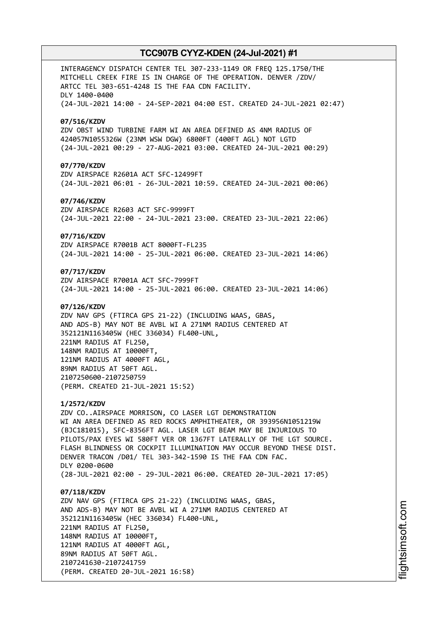INTERAGENCY DISPATCH CENTER TEL 307-233-1149 OR FREQ 125.1750/THE MITCHELL CREEK FIRE IS IN CHARGE OF THE OPERATION. DENVER /ZDV/ ARTCC TEL 303-651-4248 IS THE FAA CDN FACILITY. DLY 1400-0400 (24-JUL-2021 14:00 - 24-SEP-2021 04:00 EST. CREATED 24-JUL-2021 02:47) **07/516/KZDV** ZDV OBST WIND TURBINE FARM WI AN AREA DEFINED AS 4NM RADIUS OF 424057N1055326W (23NM WSW DGW) 6800FT (400FT AGL) NOT LGTD (24-JUL-2021 00:29 - 27-AUG-2021 03:00. CREATED 24-JUL-2021 00:29) **07/770/KZDV** ZDV AIRSPACE R2601A ACT SFC-12499FT (24-JUL-2021 06:01 - 26-JUL-2021 10:59. CREATED 24-JUL-2021 00:06) **07/746/KZDV** ZDV AIRSPACE R2603 ACT SFC-9999FT (24-JUL-2021 22:00 - 24-JUL-2021 23:00. CREATED 23-JUL-2021 22:06) **07/716/KZDV** ZDV AIRSPACE R7001B ACT 8000FT-FL235 (24-JUL-2021 14:00 - 25-JUL-2021 06:00. CREATED 23-JUL-2021 14:06) **07/717/KZDV** ZDV AIRSPACE R7001A ACT SFC-7999FT (24-JUL-2021 14:00 - 25-JUL-2021 06:00. CREATED 23-JUL-2021 14:06) **07/126/KZDV** ZDV NAV GPS (FTIRCA GPS 21-22) (INCLUDING WAAS, GBAS, AND ADS-B) MAY NOT BE AVBL WI A 271NM RADIUS CENTERED AT 352121N1163405W (HEC 336034) FL400-UNL, 221NM RADIUS AT FL250, 148NM RADIUS AT 10000FT, 121NM RADIUS AT 4000FT AGL, 89NM RADIUS AT 50FT AGL. 2107250600-2107250759 (PERM. CREATED 21-JUL-2021 15:52) **1/2572/KZDV** ZDV CO..AIRSPACE MORRISON, CO LASER LGT DEMONSTRATION WI AN AREA DEFINED AS RED ROCKS AMPHITHEATER, OR 393956N1051219W (BJC181015), SFC-8356FT AGL. LASER LGT BEAM MAY BE INJURIOUS TO PILOTS/PAX EYES WI 580FT VER OR 1367FT LATERALLY OF THE LGT SOURCE. FLASH BLINDNESS OR COCKPIT ILLUMINATION MAY OCCUR BEYOND THESE DIST. DENVER TRACON /D01/ TEL 303-342-1590 IS THE FAA CDN FAC. DLY 0200-0600 (28-JUL-2021 02:00 - 29-JUL-2021 06:00. CREATED 20-JUL-2021 17:05) **07/118/KZDV** ZDV NAV GPS (FTIRCA GPS 21-22) (INCLUDING WAAS, GBAS, AND ADS-B) MAY NOT BE AVBL WI A 271NM RADIUS CENTERED AT 352121N1163405W (HEC 336034) FL400-UNL, 221NM RADIUS AT FL250, 148NM RADIUS AT 10000FT, 121NM RADIUS AT 4000FT AGL, 89NM RADIUS AT 50FT AGL.

2107241630-2107241759

(PERM. CREATED 20-JUL-2021 16:58)

m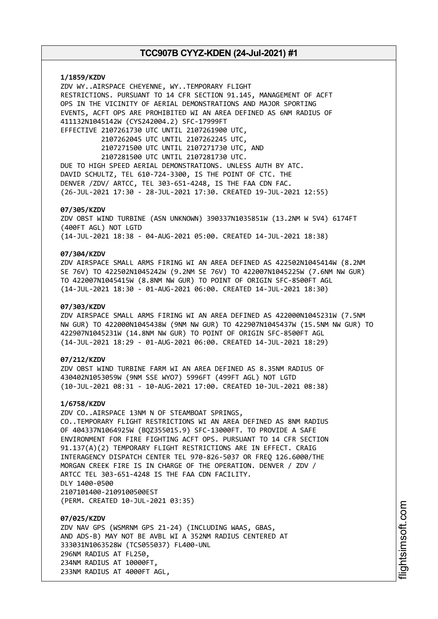**1/1859/KZDV** ZDV WY..AIRSPACE CHEYENNE, WY..TEMPORARY FLIGHT RESTRICTIONS. PURSUANT TO 14 CFR SECTION 91.145, MANAGEMENT OF ACFT OPS IN THE VICINITY OF AERIAL DEMONSTRATIONS AND MAJOR SPORTING EVENTS, ACFT OPS ARE PROHIBITED WI AN AREA DEFINED AS 6NM RADIUS OF 411132N1045142W (CYS242004.2) SFC-17999FT EFFECTIVE 2107261730 UTC UNTIL 2107261900 UTC, 2107262045 UTC UNTIL 2107262245 UTC, 2107271500 UTC UNTIL 2107271730 UTC, AND 2107281500 UTC UNTIL 2107281730 UTC. DUE TO HIGH SPEED AERIAL DEMONSTRATIONS. UNLESS AUTH BY ATC. DAVID SCHULTZ, TEL 610-724-3300, IS THE POINT OF CTC. THE DENVER /ZDV/ ARTCC, TEL 303-651-4248, IS THE FAA CDN FAC. (26-JUL-2021 17:30 - 28-JUL-2021 17:30. CREATED 19-JUL-2021 12:55) **07/305/KZDV** ZDV OBST WIND TURBINE (ASN UNKNOWN) 390337N1035851W (13.2NM W 5V4) 6174FT

**07/304/KZDV**

(400FT AGL) NOT LGTD

ZDV AIRSPACE SMALL ARMS FIRING WI AN AREA DEFINED AS 422502N1045414W (8.2NM SE 76V) TO 422502N1045242W (9.2NM SE 76V) TO 422007N1045225W (7.6NM NW GUR) TO 422007N1045415W (8.8NM NW GUR) TO POINT OF ORIGIN SFC-8500FT AGL (14-JUL-2021 18:30 - 01-AUG-2021 06:00. CREATED 14-JUL-2021 18:30)

(14-JUL-2021 18:38 - 04-AUG-2021 05:00. CREATED 14-JUL-2021 18:38)

#### **07/303/KZDV**

ZDV AIRSPACE SMALL ARMS FIRING WI AN AREA DEFINED AS 422000N1045231W (7.5NM NW GUR) TO 422000N1045438W (9NM NW GUR) TO 422907N1045437W (15.5NM NW GUR) TO 422907N1045231W (14.8NM NW GUR) TO POINT OF ORIGIN SFC-8500FT AGL (14-JUL-2021 18:29 - 01-AUG-2021 06:00. CREATED 14-JUL-2021 18:29)

## **07/212/KZDV**

ZDV OBST WIND TURBINE FARM WI AN AREA DEFINED AS 8.35NM RADIUS OF 430402N1053059W (9NM SSE WYO7) 5996FT (499FT AGL) NOT LGTD (10-JUL-2021 08:31 - 10-AUG-2021 17:00. CREATED 10-JUL-2021 08:38)

#### **1/6758/KZDV**

ZDV CO..AIRSPACE 13NM N OF STEAMBOAT SPRINGS, CO..TEMPORARY FLIGHT RESTRICTIONS WI AN AREA DEFINED AS 8NM RADIUS OF 404337N1064925W (BQZ355015.9) SFC-13000FT. TO PROVIDE A SAFE ENVIRONMENT FOR FIRE FIGHTING ACFT OPS. PURSUANT TO 14 CFR SECTION 91.137(A)(2) TEMPORARY FLIGHT RESTRICTIONS ARE IN EFFECT. CRAIG INTERAGENCY DISPATCH CENTER TEL 970-826-5037 OR FREQ 126.6000/THE MORGAN CREEK FIRE IS IN CHARGE OF THE OPERATION. DENVER / ZDV / ARTCC TEL 303-651-4248 IS THE FAA CDN FACILITY. DLY 1400-0500 2107101400-2109100500EST (PERM. CREATED 10-JUL-2021 03:35)

**07/025/KZDV** ZDV NAV GPS (WSMRNM GPS 21-24) (INCLUDING WAAS, GBAS, AND ADS-B) MAY NOT BE AVBL WI A 352NM RADIUS CENTERED AT 333031N1063528W (TCS055037) FL400-UNL 296NM RADIUS AT FL250, 234NM RADIUS AT 10000FT, 233NM RADIUS AT 4000FT AGL,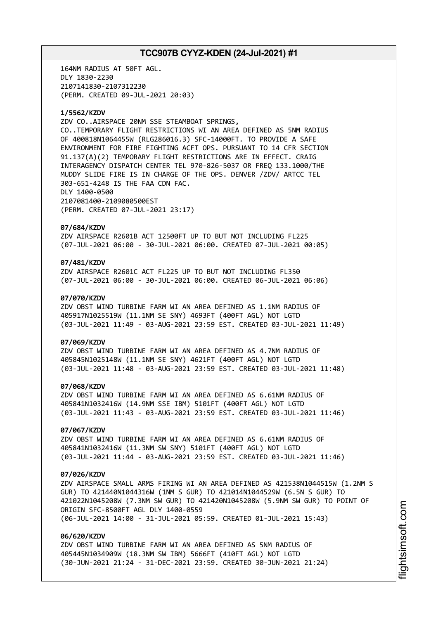164NM RADIUS AT 50FT AGL. DLY 1830-2230 2107141830-2107312230 (PERM. CREATED 09-JUL-2021 20:03)

#### **1/5562/KZDV**

ZDV CO..AIRSPACE 20NM SSE STEAMBOAT SPRINGS, CO..TEMPORARY FLIGHT RESTRICTIONS WI AN AREA DEFINED AS 5NM RADIUS OF 400818N1064455W (RLG286016.3) SFC-14000FT. TO PROVIDE A SAFE ENVIRONMENT FOR FIRE FIGHTING ACFT OPS. PURSUANT TO 14 CFR SECTION 91.137(A)(2) TEMPORARY FLIGHT RESTRICTIONS ARE IN EFFECT. CRAIG INTERAGENCY DISPATCH CENTER TEL 970-826-5037 OR FREQ 133.1000/THE MUDDY SLIDE FIRE IS IN CHARGE OF THE OPS. DENVER /ZDV/ ARTCC TEL 303-651-4248 IS THE FAA CDN FAC. DLY 1400-0500 2107081400-2109080500EST (PERM. CREATED 07-JUL-2021 23:17)

#### **07/684/KZDV**

ZDV AIRSPACE R2601B ACT 12500FT UP TO BUT NOT INCLUDING FL225 (07-JUL-2021 06:00 - 30-JUL-2021 06:00. CREATED 07-JUL-2021 00:05)

## **07/481/KZDV**

ZDV AIRSPACE R2601C ACT FL225 UP TO BUT NOT INCLUDING FL350 (07-JUL-2021 06:00 - 30-JUL-2021 06:00. CREATED 06-JUL-2021 06:06)

### **07/070/KZDV**

ZDV OBST WIND TURBINE FARM WI AN AREA DEFINED AS 1.1NM RADIUS OF 405917N1025519W (11.1NM SE SNY) 4693FT (400FT AGL) NOT LGTD (03-JUL-2021 11:49 - 03-AUG-2021 23:59 EST. CREATED 03-JUL-2021 11:49)

#### **07/069/KZDV**

ZDV OBST WIND TURBINE FARM WI AN AREA DEFINED AS 4.7NM RADIUS OF 405845N1025148W (11.1NM SE SNY) 4621FT (400FT AGL) NOT LGTD (03-JUL-2021 11:48 - 03-AUG-2021 23:59 EST. CREATED 03-JUL-2021 11:48)

## **07/068/KZDV**

ZDV OBST WIND TURBINE FARM WI AN AREA DEFINED AS 6.61NM RADIUS OF 405841N1032416W (14.9NM SSE IBM) 5101FT (400FT AGL) NOT LGTD (03-JUL-2021 11:43 - 03-AUG-2021 23:59 EST. CREATED 03-JUL-2021 11:46)

### **07/067/KZDV**

ZDV OBST WIND TURBINE FARM WI AN AREA DEFINED AS 6.61NM RADIUS OF 405841N1032416W (11.3NM SW SNY) 5101FT (400FT AGL) NOT LGTD (03-JUL-2021 11:44 - 03-AUG-2021 23:59 EST. CREATED 03-JUL-2021 11:46)

#### **07/026/KZDV**

ZDV AIRSPACE SMALL ARMS FIRING WI AN AREA DEFINED AS 421538N1044515W (1.2NM S GUR) TO 421440N1044316W (1NM S GUR) TO 421014N1044529W (6.5N S GUR) TO 421022N1045208W (7.3NM SW GUR) TO 421420N1045208W (5.9NM SW GUR) TO POINT OF ORIGIN SFC-8500FT AGL DLY 1400-0559 (06-JUL-2021 14:00 - 31-JUL-2021 05:59. CREATED 01-JUL-2021 15:43)

#### **06/620/KZDV**

ZDV OBST WIND TURBINE FARM WI AN AREA DEFINED AS 5NM RADIUS OF 405445N1034909W (18.3NM SW IBM) 5666FT (410FT AGL) NOT LGTD (30-JUN-2021 21:24 - 31-DEC-2021 23:59. CREATED 30-JUN-2021 21:24)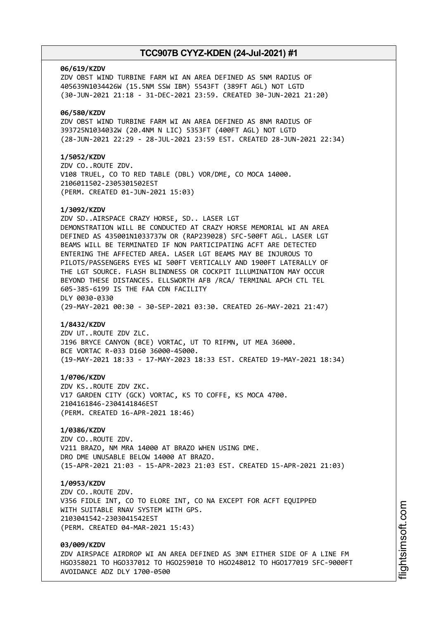#### **06/619/KZDV**

ZDV OBST WIND TURBINE FARM WI AN AREA DEFINED AS 5NM RADIUS OF 405639N1034426W (15.5NM SSW IBM) 5543FT (389FT AGL) NOT LGTD (30-JUN-2021 21:18 - 31-DEC-2021 23:59. CREATED 30-JUN-2021 21:20)

#### **06/580/KZDV**

ZDV OBST WIND TURBINE FARM WI AN AREA DEFINED AS 8NM RADIUS OF 393725N1034032W (20.4NM N LIC) 5353FT (400FT AGL) NOT LGTD (28-JUN-2021 22:29 - 28-JUL-2021 23:59 EST. CREATED 28-JUN-2021 22:34)

### **1/5052/KZDV**

ZDV CO..ROUTE ZDV. V108 TRUEL, CO TO RED TABLE (DBL) VOR/DME, CO MOCA 14000. 2106011502-2305301502EST (PERM. CREATED 01-JUN-2021 15:03)

#### **1/3092/KZDV**

ZDV SD..AIRSPACE CRAZY HORSE, SD.. LASER LGT DEMONSTRATION WILL BE CONDUCTED AT CRAZY HORSE MEMORIAL WI AN AREA DEFINED AS 435001N1033737W OR (RAP239028) SFC-500FT AGL. LASER LGT BEAMS WILL BE TERMINATED IF NON PARTICIPATING ACFT ARE DETECTED ENTERING THE AFFECTED AREA. LASER LGT BEAMS MAY BE INJUROUS TO PILOTS/PASSENGERS EYES WI 500FT VERTICALLY AND 1900FT LATERALLY OF THE LGT SOURCE. FLASH BLINDNESS OR COCKPIT ILLUMINATION MAY OCCUR BEYOND THESE DISTANCES. ELLSWORTH AFB /RCA/ TERMINAL APCH CTL TEL 605-385-6199 IS THE FAA CDN FACILITY DLY 0030-0330 (29-MAY-2021 00:30 - 30-SEP-2021 03:30. CREATED 26-MAY-2021 21:47)

#### **1/8432/KZDV**

ZDV UT..ROUTE ZDV ZLC. J196 BRYCE CANYON (BCE) VORTAC, UT TO RIFMN, UT MEA 36000. BCE VORTAC R-033 D160 36000-45000. (19-MAY-2021 18:33 - 17-MAY-2023 18:33 EST. CREATED 19-MAY-2021 18:34)

#### **1/0706/KZDV**

ZDV KS..ROUTE ZDV ZKC. V17 GARDEN CITY (GCK) VORTAC, KS TO COFFE, KS MOCA 4700. 2104161846-2304141846EST (PERM. CREATED 16-APR-2021 18:46)

## **1/0386/KZDV**

ZDV CO..ROUTE ZDV. V211 BRAZO, NM MRA 14000 AT BRAZO WHEN USING DME. DRO DME UNUSABLE BELOW 14000 AT BRAZO. (15-APR-2021 21:03 - 15-APR-2023 21:03 EST. CREATED 15-APR-2021 21:03)

#### **1/0953/KZDV**

ZDV CO..ROUTE ZDV. V356 FIDLE INT, CO TO ELORE INT, CO NA EXCEPT FOR ACFT EQUIPPED WITH SUITABLE RNAV SYSTEM WITH GPS. 2103041542-2303041542EST (PERM. CREATED 04-MAR-2021 15:43)

## **03/009/KZDV**

ZDV AIRSPACE AIRDROP WI AN AREA DEFINED AS 3NM EITHER SIDE OF A LINE FM HGO358021 TO HGO337012 TO HGO259010 TO HGO248012 TO HGO177019 SFC-9000FT AVOIDANCE ADZ DLY 1700-0500